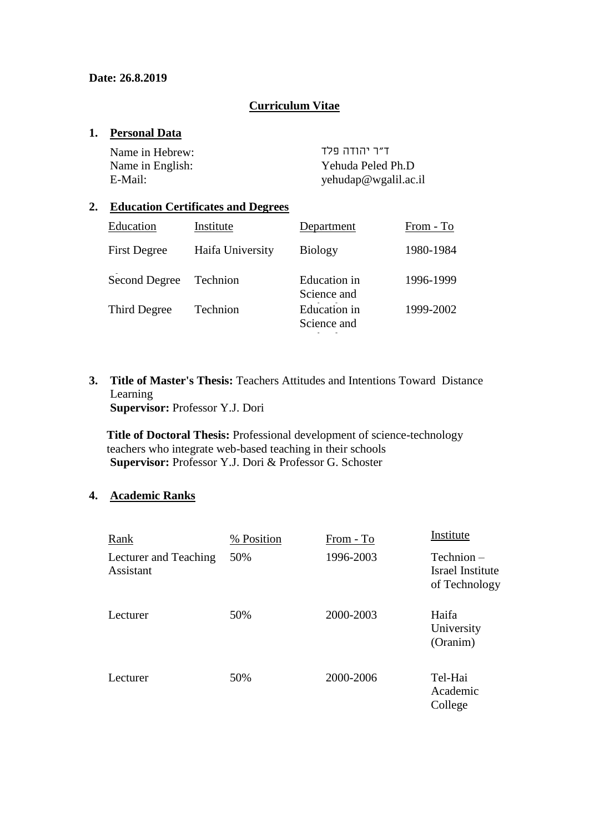### **Curriculum Vitae**

### **1. Personal Data**

ד"ר יהודה פלד :Hebrew in Name

Name in English:<br>
Yehuda Peled Ph.D<br>
Yehudan@wgalil.ac.<br>
Yehudan@wgalil.ac. yehudap@wgalil.ac.il

### **2. Education Certificates and Degrees**

| Education           | Institute        | Department                  | From - To |
|---------------------|------------------|-----------------------------|-----------|
| <b>First Degree</b> | Haifa University | <b>Biology</b>              | 1980-1984 |
| Second Degree       | Technion         | Education in<br>Science and | 1996-1999 |
| Third Degree        | Technion         | Education in<br>Science and | 1999-2002 |

**3. Title of Master's Thesis:** Teachers Attitudes and Intentions Toward Distance Learning **Supervisor:** Professor Y.J. Dori

**Title of Doctoral Thesis:** Professional development of science-technology teachers who integrate web-based teaching in their schools **Supervisor:** Professor Y.J. Dori & Professor G. Schoster

### **4. Academic Ranks**

| Rank                               | % Position | From - To | Institute                                       |
|------------------------------------|------------|-----------|-------------------------------------------------|
| Lecturer and Teaching<br>Assistant | 50%        | 1996-2003 | Technion –<br>Israel Institute<br>of Technology |
| Lecturer                           | 50%        | 2000-2003 | Haifa<br>University<br>(Oranim)                 |
| Lecturer                           | 50%        | 2000-2006 | Tel-Hai<br>Academic<br>College                  |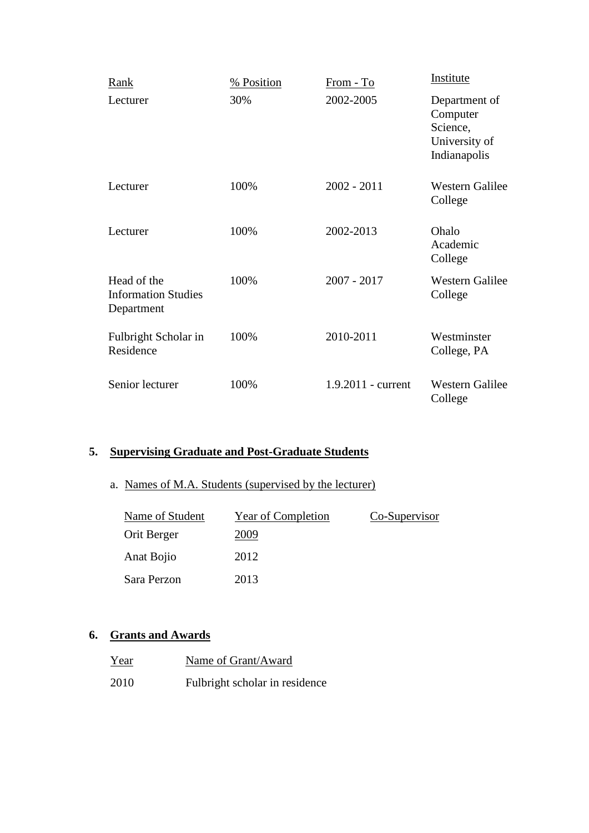| Rank                                                    | % Position | From - To            | Institute                                                              |
|---------------------------------------------------------|------------|----------------------|------------------------------------------------------------------------|
| Lecturer                                                | 30%        | 2002-2005            | Department of<br>Computer<br>Science,<br>University of<br>Indianapolis |
| Lecturer                                                | 100%       | $2002 - 2011$        | <b>Western Galilee</b><br>College                                      |
| Lecturer                                                | 100%       | 2002-2013            | Ohalo<br>Academic<br>College                                           |
| Head of the<br><b>Information Studies</b><br>Department | 100%       | $2007 - 2017$        | <b>Western Galilee</b><br>College                                      |
| Fulbright Scholar in<br>Residence                       | 100%       | 2010-2011            | Westminster<br>College, PA                                             |
| Senior lecturer                                         | 100%       | $1.9.2011$ - current | <b>Western Galilee</b><br>College                                      |

# **5. Supervising Graduate and Post-Graduate Students**

# a. Names of M.A. Students (supervised by the lecturer)

| Name of Student | Year of Completion | Co-Supervisor |
|-----------------|--------------------|---------------|
| Orit Berger     | 2009               |               |
| Anat Bojio      | 2012               |               |
| Sara Perzon     | 2013               |               |

# **6. Grants and Awards**

| Year | Name of Grant/Award            |
|------|--------------------------------|
| 2010 | Fulbright scholar in residence |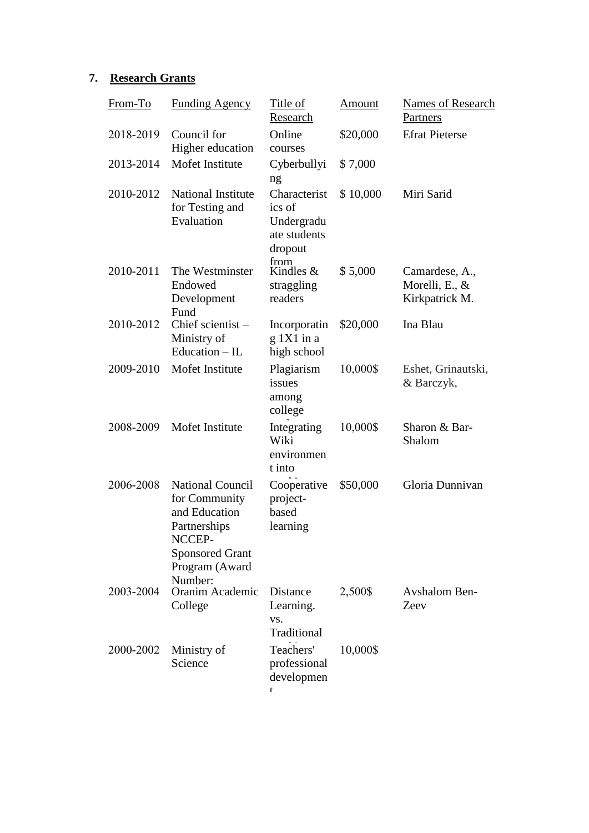# **7. Research Grants**

| From-To   | <b>Funding Agency</b>                                                                                                                      | Title of<br>Research                                            | <u>Amount</u> | <b>Names of Research</b><br>Partners                 |
|-----------|--------------------------------------------------------------------------------------------------------------------------------------------|-----------------------------------------------------------------|---------------|------------------------------------------------------|
| 2018-2019 | Council for<br>Higher education                                                                                                            | Online<br>courses                                               | \$20,000      | <b>Efrat Pieterse</b>                                |
| 2013-2014 | Mofet Institute                                                                                                                            | Cyberbullyi<br>ng                                               | \$7,000       |                                                      |
| 2010-2012 | <b>National Institute</b><br>for Testing and<br>Evaluation                                                                                 | Characterist<br>ics of<br>Undergradu<br>ate students<br>dropout | \$10,000      | Miri Sarid                                           |
| 2010-2011 | The Westminster<br>Endowed<br>Development<br>Fund                                                                                          | from<br>Kindles $&$<br>straggling<br>readers                    | \$5,000       | Camardese, A.,<br>Morelli, E., $&$<br>Kirkpatrick M. |
| 2010-2012 | Chief scientist-<br>Ministry of<br>Education $-$ IL                                                                                        | Incorporatin<br>$g$ 1X1 in a<br>high school                     | \$20,000      | Ina Blau                                             |
| 2009-2010 | Mofet Institute                                                                                                                            | Plagiarism<br>issues<br>among<br>college                        | 10,000\$      | Eshet, Grinautski,<br>& Barczyk,                     |
| 2008-2009 | Mofet Institute                                                                                                                            | Integrating<br>Wiki<br>environmen<br>t into                     | 10,000\$      | Sharon & Bar-<br>Shalom                              |
| 2006-2008 | <b>National Council</b><br>for Community<br>and Education<br>Partnerships<br>NCCEP-<br><b>Sponsored Grant</b><br>Program (Award<br>Number: | Cooperative<br>project-<br>based<br>learning                    | \$50,000      | Gloria Dunnivan                                      |
| 2003-2004 | Oranim Academic<br>College                                                                                                                 | Distance<br>Learning.<br>VS.<br>Traditional                     | 2,500\$       | <b>Avshalom Ben-</b><br>Zeev                         |
| 2000-2002 | Ministry of<br>Science                                                                                                                     | Teachers'<br>professional<br>developmen<br>t                    | 10,000\$      |                                                      |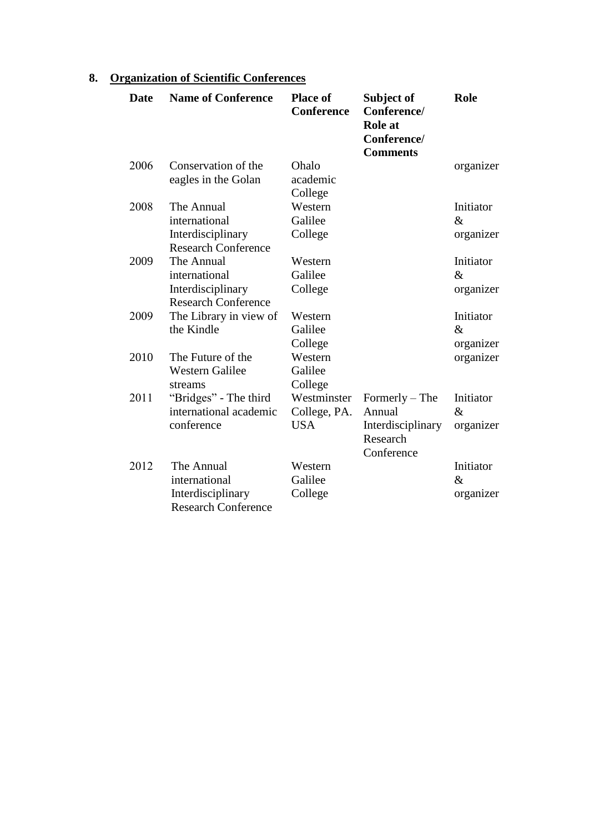| <b>Date</b> | <b>Name of Conference</b>                                                      | <b>Place of</b><br><b>Conference</b>      | Subject of<br>Conference/<br><b>Role</b> at<br>Conference/<br><b>Comments</b> | <b>Role</b>                    |
|-------------|--------------------------------------------------------------------------------|-------------------------------------------|-------------------------------------------------------------------------------|--------------------------------|
| 2006        | Conservation of the<br>eagles in the Golan                                     | Ohalo<br>academic<br>College              |                                                                               | organizer                      |
| 2008        | The Annual<br>international<br>Interdisciplinary<br><b>Research Conference</b> | Western<br>Galilee<br>College             |                                                                               | Initiator<br>$\&$<br>organizer |
| 2009        | The Annual<br>international<br>Interdisciplinary<br><b>Research Conference</b> | Western<br>Galilee<br>College             |                                                                               | Initiator<br>$\&$<br>organizer |
| 2009        | The Library in view of<br>the Kindle                                           | Western<br>Galilee<br>College             |                                                                               | Initiator<br>$\&$<br>organizer |
| 2010        | The Future of the<br><b>Western Galilee</b><br>streams                         | Western<br>Galilee<br>College             |                                                                               | organizer                      |
| 2011        | "Bridges" - The third<br>international academic<br>conference                  | Westminster<br>College, PA.<br><b>USA</b> | $Formerly - The$<br>Annual<br>Interdisciplinary<br>Research<br>Conference     | Initiator<br>$\&$<br>organizer |
| 2012        | The Annual<br>international<br>Interdisciplinary<br><b>Research Conference</b> | Western<br>Galilee<br>College             |                                                                               | Initiator<br>$\&$<br>organizer |

# **8. Organization of Scientific Conferences**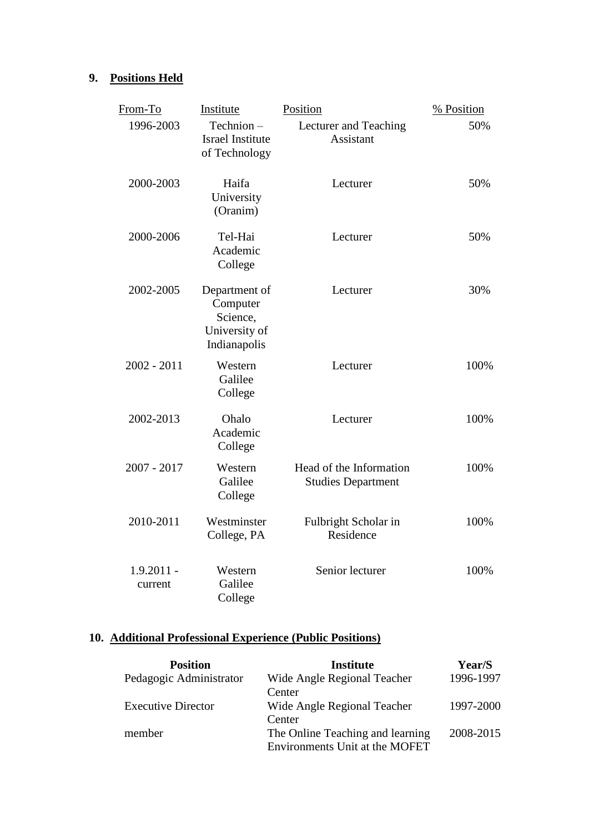## **9. Positions Held**

| From-To                 | Institute                                                              | Position                                             | % Position |
|-------------------------|------------------------------------------------------------------------|------------------------------------------------------|------------|
| 1996-2003               | Technion-<br><b>Israel Institute</b><br>of Technology                  | Lecturer and Teaching<br>Assistant                   | 50%        |
| 2000-2003               | Haifa<br>University<br>(Oranim)                                        | Lecturer                                             | 50%        |
| 2000-2006               | Tel-Hai<br>Academic<br>College                                         | Lecturer                                             | 50%        |
| 2002-2005               | Department of<br>Computer<br>Science,<br>University of<br>Indianapolis | Lecturer                                             | 30%        |
| $2002 - 2011$           | Western<br>Galilee<br>College                                          | Lecturer                                             | 100%       |
| 2002-2013               | Ohalo<br>Academic<br>College                                           | Lecturer                                             | 100%       |
| 2007 - 2017             | Western<br>Galilee<br>College                                          | Head of the Information<br><b>Studies Department</b> | 100%       |
| 2010-2011               | Westminster<br>College, PA                                             | Fulbright Scholar in<br>Residence                    | 100%       |
| $1.9.2011 -$<br>current | Western<br>Galilee<br>College                                          | Senior lecturer                                      | 100%       |

# **10. Additional Professional Experience (Public Positions)**

| <b>Position</b>           | <b>Institute</b>                 | Year/S    |
|---------------------------|----------------------------------|-----------|
| Pedagogic Administrator   | Wide Angle Regional Teacher      | 1996-1997 |
|                           | Center                           |           |
| <b>Executive Director</b> | Wide Angle Regional Teacher      | 1997-2000 |
|                           | Center                           |           |
| member                    | The Online Teaching and learning | 2008-2015 |
|                           | Environments Unit at the MOFET   |           |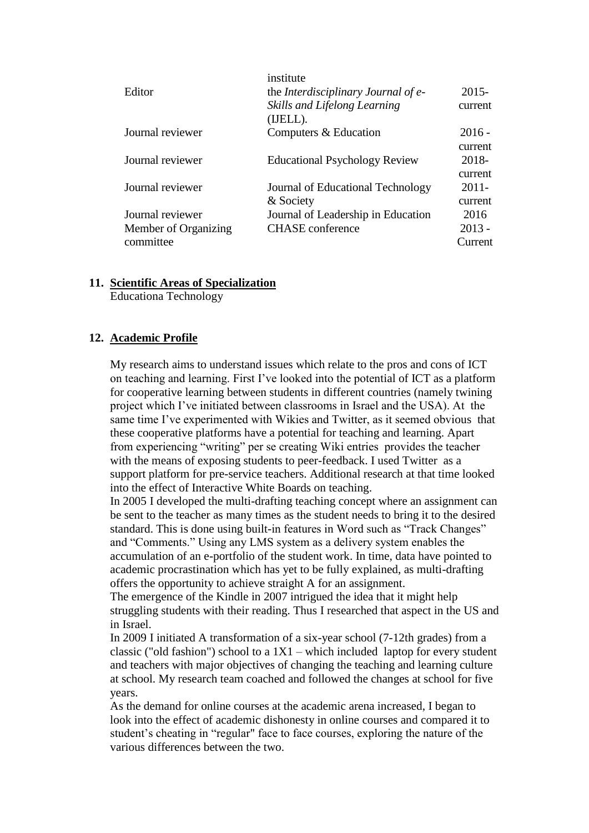| institute                                  |          |
|--------------------------------------------|----------|
| the <i>Interdisciplinary Journal of e-</i> | $2015 -$ |
| Skills and Lifelong Learning<br>(IJELL).   | current  |
| Computers & Education                      | $2016 -$ |
|                                            | current  |
| <b>Educational Psychology Review</b>       | 2018-    |
|                                            | current  |
| Journal of Educational Technology          | $2011 -$ |
| & Society                                  | current  |
| Journal of Leadership in Education         | 2016     |
| <b>CHASE</b> conference                    | $2013 -$ |
|                                            | Current  |
|                                            |          |

### **11. Scientific Areas of Specialization**

Educationa Technology

### **12. Academic Profile**

My research aims to understand issues which relate to the pros and cons of ICT on teaching and learning. First I've looked into the potential of ICT as a platform for cooperative learning between students in different countries (namely twining project which I've initiated between classrooms in Israel and the USA). At the same time I've experimented with Wikies and Twitter, as it seemed obvious that these cooperative platforms have a potential for teaching and learning. Apart from experiencing "writing" per se creating Wiki entries provides the teacher with the means of exposing students to peer-feedback. I used Twitter as a support platform for pre-service teachers. Additional research at that time looked into the effect of Interactive White Boards on teaching.

In 2005 I developed the multi-drafting teaching concept where an assignment can be sent to the teacher as many times as the student needs to bring it to the desired standard. This is done using built-in features in Word such as "Track Changes" and "Comments." Using any LMS system as a delivery system enables the accumulation of an e-portfolio of the student work. In time, data have pointed to academic procrastination which has yet to be fully explained, as multi-drafting offers the opportunity to achieve straight A for an assignment.

The emergence of the Kindle in 2007 intrigued the idea that it might help struggling students with their reading. Thus I researched that aspect in the US and in Israel.

In 2009 I initiated A transformation of a six-year school (7-12th grades) from a classic ("old fashion") school to a  $1X1$  – which included laptop for every student and teachers with major objectives of changing the teaching and learning culture at school. My research team coached and followed the changes at school for five years.

As the demand for online courses at the academic arena increased, I began to look into the effect of academic dishonesty in online courses and compared it to student's cheating in "regular" face to face courses, exploring the nature of the various differences between the two.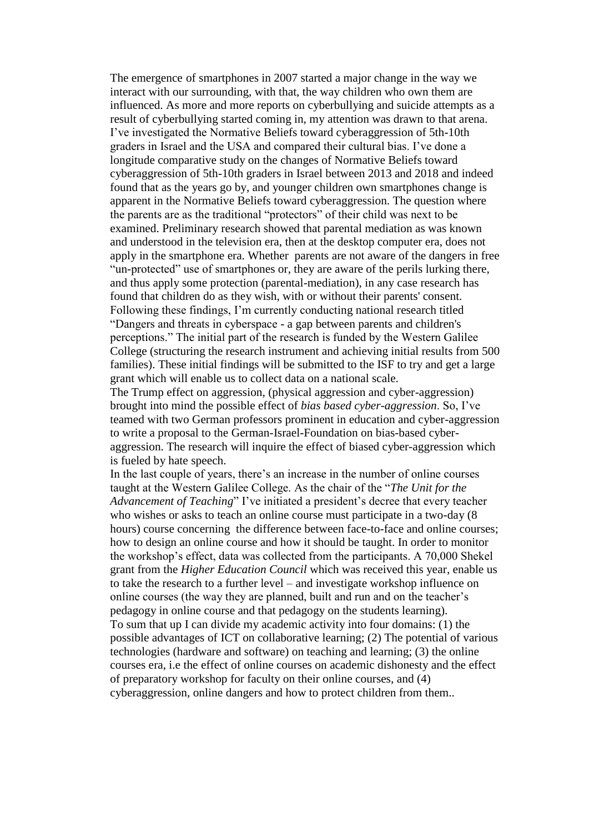The emergence of smartphones in 2007 started a major change in the way we interact with our surrounding, with that, the way children who own them are influenced. As more and more reports on cyberbullying and suicide attempts as a result of cyberbullying started coming in, my attention was drawn to that arena. I've investigated the Normative Beliefs toward cyberaggression of 5th-10th graders in Israel and the USA and compared their cultural bias. I've done a longitude comparative study on the changes of Normative Beliefs toward cyberaggression of 5th-10th graders in Israel between 2013 and 2018 and indeed found that as the years go by, and younger children own smartphones change is apparent in the Normative Beliefs toward cyberaggression. The question where the parents are as the traditional "protectors" of their child was next to be examined. Preliminary research showed that parental mediation as was known and understood in the television era, then at the desktop computer era, does not apply in the smartphone era. Whether parents are not aware of the dangers in free "un-protected" use of smartphones or, they are aware of the perils lurking there, and thus apply some protection (parental-mediation), in any case research has found that children do as they wish, with or without their parents' consent. Following these findings, I'm currently conducting national research titled "Dangers and threats in cyberspace - a gap between parents and children's perceptions." The initial part of the research is funded by the Western Galilee College (structuring the research instrument and achieving initial results from 500 families). These initial findings will be submitted to the ISF to try and get a large grant which will enable us to collect data on a national scale.

The Trump effect on aggression, (physical aggression and cyber-aggression) brought into mind the possible effect of *bias based cyber-aggression*. So, I've teamed with two German professors prominent in education and cyber-aggression to write a proposal to the German-Israel-Foundation on bias-based cyberaggression. The research will inquire the effect of biased cyber-aggression which is fueled by hate speech.

In the last couple of years, there's an increase in the number of online courses taught at the Western Galilee College. As the chair of the "*The Unit for the Advancement of Teaching*" I've initiated a president's decree that every teacher who wishes or asks to teach an online course must participate in a two-day (8 hours) course concerning the difference between face-to-face and online courses; how to design an online course and how it should be taught. In order to monitor the workshop's effect, data was collected from the participants. A 70,000 Shekel grant from the *Higher Education Council* which was received this year, enable us to take the research to a further level – and investigate workshop influence on online courses (the way they are planned, built and run and on the teacher's pedagogy in online course and that pedagogy on the students learning). To sum that up I can divide my academic activity into four domains: (1) the possible advantages of ICT on collaborative learning; (2) The potential of various technologies (hardware and software) on teaching and learning; (3) the online courses era, i.e the effect of online courses on academic dishonesty and the effect of preparatory workshop for faculty on their online courses, and (4) cyberaggression, online dangers and how to protect children from them..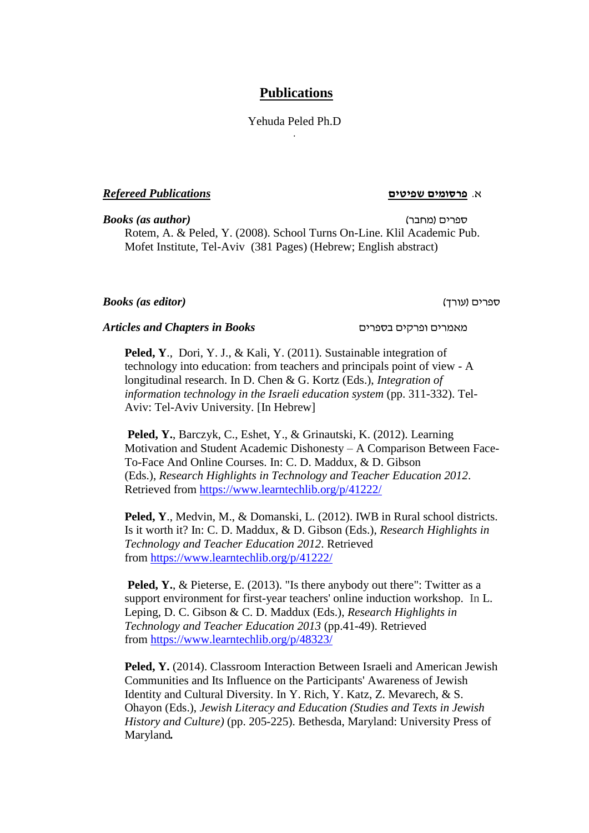### **Publications**

Yehuda Peled Ph.D .

### א. **פרסומים שפיטים** *Publications Refereed*

*Books (as author)* )מחבר )ספרים Rotem, A. & Peled, Y. (2008). School Turns On-Line. Klil Academic Pub. Mofet Institute, Tel-Aviv (381 Pages) (Hebrew; English abstract)

### *Books (as editor)* )עורך )ספרים

### *Articles and Chapters in Books* בספרים ופרקים מאמרים

**Peled, Y**., Dori, Y. J., & Kali, Y. (2011). Sustainable integration of technology into education: from teachers and principals point of view - A longitudinal research. In D. Chen & G. Kortz (Eds.), *Integration of information technology in the Israeli education system* (pp. 311-332). Tel-Aviv: Tel-Aviv University. [In Hebrew]

**Peled, Y.**, Barczyk, C., Eshet, Y., & Grinautski, K. (2012). Learning Motivation and Student Academic Dishonesty – A Comparison Between Face-To-Face And Online Courses. In: C. D. Maddux, & D. Gibson (Eds.), *Research Highlights in Technology and Teacher Education 2012*. Retrieved from <https://www.learntechlib.org/p/41222/>

**Peled, Y**., Medvin, M., & Domanski, L. (2012). IWB in Rural school districts. Is it worth it? In: C. D. Maddux, & D. Gibson (Eds.), *Research Highlights in Technology and Teacher Education 2012*. Retrieved from <https://www.learntechlib.org/p/41222/>

**Peled, Y., & Pieterse, E.** (2013). "Is there anybody out there": Twitter as a support environment for first-year teachers' online induction workshop. In L. Leping, D. C. Gibson & C. D. Maddux (Eds.), *Research Highlights in Technology and Teacher Education 2013* (pp.41-49). Retrieved from <https://www.learntechlib.org/p/48323/>

**Peled, Y.** (2014). Classroom Interaction Between Israeli and American Jewish Communities and Its Influence on the Participants' Awareness of Jewish Identity and Cultural Diversity. In Y. Rich, Y. Katz, Z. Mevarech, & S. Ohayon (Eds.), *Jewish Literacy and Education (Studies and Texts in Jewish History and Culture)* (pp. 205-225). Bethesda, Maryland: University Press of Maryland*.*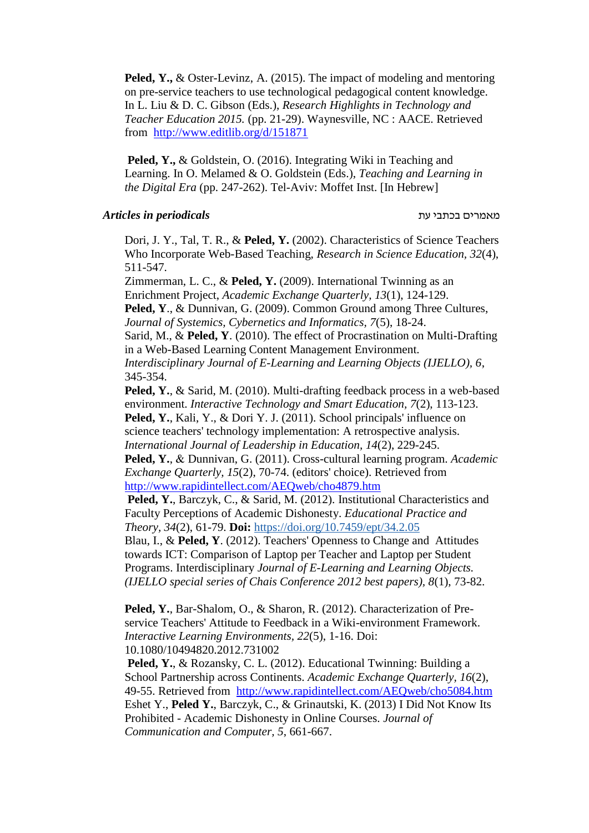**Peled, Y.,** & Oster-Levinz, A. (2015). The impact of modeling and mentoring on pre-service teachers to use technological pedagogical content knowledge. In L. Liu & D. C. Gibson (Eds.), *Research Highlights in Technology and Teacher Education 2015.* (pp. 21-29). Waynesville, NC : AACE. Retrieved from <http://www.editlib.org/d/151871>

**Peled, Y.,** & Goldstein, O. (2016). Integrating Wiki in Teaching and Learning. In O. Melamed & O. Goldstein (Eds.), *Teaching and Learning in the Digital Era* (pp. 247-262). Tel-Aviv: Moffet Inst. [In Hebrew]

### מאמרים בכתבי עת *periodicals in Articles*

Dori, J. Y., Tal, T. R., & **Peled, Y.** (2002). Characteristics of Science Teachers Who Incorporate Web-Based Teaching, *Research in Science Education, 32*(4), 511-547.

Zimmerman, L. C., & **Peled, Y.** (2009). International Twinning as an Enrichment Project, *Academic Exchange Quarterly, 13*(1), 124-129. **Peled, Y**., & Dunnivan, G. (2009). Common Ground among Three Cultures, *Journal of Systemics, Cybernetics and Informatics, 7*(5), 18-24. Sarid, M., & **Peled, Y**. (2010). The effect of Procrastination on Multi-Drafting in a Web-Based Learning Content Management Environment. *Interdisciplinary Journal of E-Learning and Learning Objects (IJELLO), 6*,

345-354.

**Peled, Y.**, & Sarid, M. (2010). Multi-drafting feedback process in a web-based environment. *Interactive Technology and Smart Education, 7*(2), 113-123. **Peled, Y.**, Kali, Y., & Dori Y. J. (2011). School principals' influence on science teachers' technology implementation: A retrospective analysis. *International Journal of Leadership in Education, 14*(2), 229-245.

**Peled, Y.**, & Dunnivan, G. (2011). Cross-cultural learning program. *Academic Exchange Quarterly, 15*(2), 70-74. (editors' choice). Retrieved from <http://www.rapidintellect.com/AEQweb/cho4879.htm>

**Peled, Y.**, Barczyk, C., & Sarid, M. (2012). Institutional Characteristics and Faculty Perceptions of Academic Dishonesty. *Educational Practice and Theory, 34*(2), 61-79. **Doi:** <https://doi.org/10.7459/ept/34.2.05>

Blau, I., & **Peled, Y**. (2012). Teachers' Openness to Change and Attitudes towards ICT: Comparison of Laptop per Teacher and Laptop per Student Programs. Interdisciplinary *Journal of E-Learning and Learning Objects. (IJELLO special series of Chais Conference 2012 best papers), 8*(1), 73-82.

**Peled, Y.**, Bar-Shalom, O., & Sharon, R. (2012). Characterization of Preservice Teachers' Attitude to Feedback in a Wiki-environment Framework. *Interactive Learning Environments, 22*(5), 1-16. Doi: 10.1080/10494820.2012.731002

**Peled, Y.**, & Rozansky, C. L. (2012). Educational Twinning: Building a School Partnership across Continents. *Academic Exchange Quarterly, 16*(2), 49-55. Retrieved from <http://www.rapidintellect.com/AEQweb/cho5084.htm> Eshet Y., **Peled Y.**, Barczyk, C., & Grinautski, K. (2013) I Did Not Know Its Prohibited - Academic Dishonesty in Online Courses. *Journal of Communication and Computer, 5*, 661-667.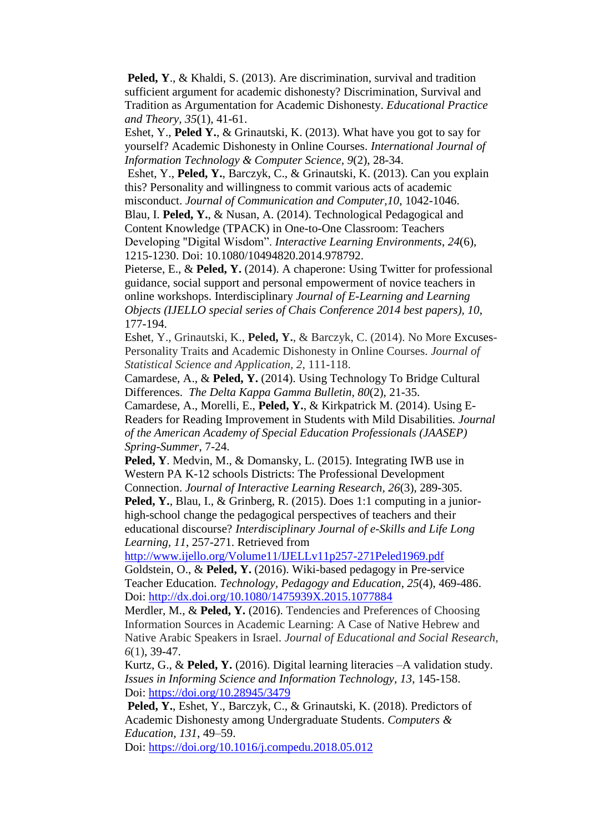**Peled, Y., & Khaldi, S. (2013).** Are discrimination, survival and tradition sufficient argument for academic dishonesty? Discrimination, Survival and Tradition as Argumentation for Academic Dishonesty. *[Educational Practice](http://www.ingentaconnect.com/content/jnp/ept;jsessionid=5bk2jmr2wt5ss.alexandra)  [and Theory,](http://www.ingentaconnect.com/content/jnp/ept;jsessionid=5bk2jmr2wt5ss.alexandra) 35*(1), 41-61.

Eshet, Y., **Peled Y.**, & Grinautski, K. (2013). What have you got to say for yourself? Academic Dishonesty in Online Courses. *International Journal of Information Technology & Computer Science, 9*(2), 28-34.

Eshet, Y., **Peled, Y.**, Barczyk, C., & Grinautski, K. (2013). Can you explain this? Personality and willingness to commit various acts of academic misconduct. *Journal of Communication and Computer,10*, 1042-1046.

Blau, I. **Peled, Y.**, & Nusan, A. (2014). Technological Pedagogical and Content Knowledge (TPACK) in One-to-One Classroom: Teachers Developing "Digital Wisdom". *Interactive Learning Environments*, *24*(6),

1215-1230. Doi: 10.1080/10494820.2014.978792. Pieterse, E., & **Peled, Y.** (2014). A chaperone: Using Twitter for professional

guidance, social support and personal empowerment of novice teachers in online workshops. Interdisciplinary *Journal of E-Learning and Learning Objects (IJELLO special series of Chais Conference 2014 best papers), 10*, 177-194.

Eshet, Y., Grinautski, K., **Peled, Y.**, & Barczyk, C. (2014). No More Excuses-Personality Traits and Academic Dishonesty in Online Courses. *Journal of Statistical Science and Application, 2*, 111-118.

Camardese, A., & **Peled, Y.** (2014). Using Technology To Bridge Cultural Differences. *The Delta Kappa Gamma Bulletin, 80*(2), 21-35.

Camardese, A., Morelli, E., **Peled, Y.**, & Kirkpatrick M. (2014). Using E-Readers for Reading Improvement in Students with Mild Disabilities*. Journal of the American Academy of Special Education Professionals (JAASEP) Spring-Summer*, 7-24.

**Peled, Y**. Medvin, M., & Domansky, L. (2015). Integrating IWB use in Western PA K-12 schools Districts: The Professional Development

Connection. *Journal of Interactive Learning Research, 26*(3), 289-305. **Peled, Y.**, Blau, I., & Grinberg, R. (2015). Does 1:1 computing in a juniorhigh-school change the pedagogical perspectives of teachers and their educational discourse? *Interdisciplinary Journal of e-Skills and Life Long Learning, 11*, 257-271. Retrieved from

<http://www.ijello.org/Volume11/IJELLv11p257-271Peled1969.pdf>

Goldstein, O., & **Peled, Y.** (2016). Wiki-based pedagogy in Pre-service Teacher Education. *Technology, Pedagogy and Education*, *25*(4), 469-486. Doi:<http://dx.doi.org/10.1080/1475939X.2015.1077884>

Merdler, M., & **Peled, Y.** (2016). Tendencies and Preferences of Choosing Information Sources in Academic Learning: A Case of Native Hebrew and Native Arabic Speakers in Israel. *Journal of Educational and Social Research, 6*(1), 39-47.

Kurtz, G., & **Peled, Y.** (2016). Digital learning literacies –A validation study. *Issues in Informing Science and Information Technology, 13*, 145-158. Doi:<https://doi.org/10.28945/3479>

**Peled, Y.**, Eshet, Y., Barczyk, C., & Grinautski, K. (2018). Predictors of Academic Dishonesty among Undergraduate Students. *Computers & Education, 131*, 49–59.

Doi:<https://doi.org/10.1016/j.compedu.2018.05.012>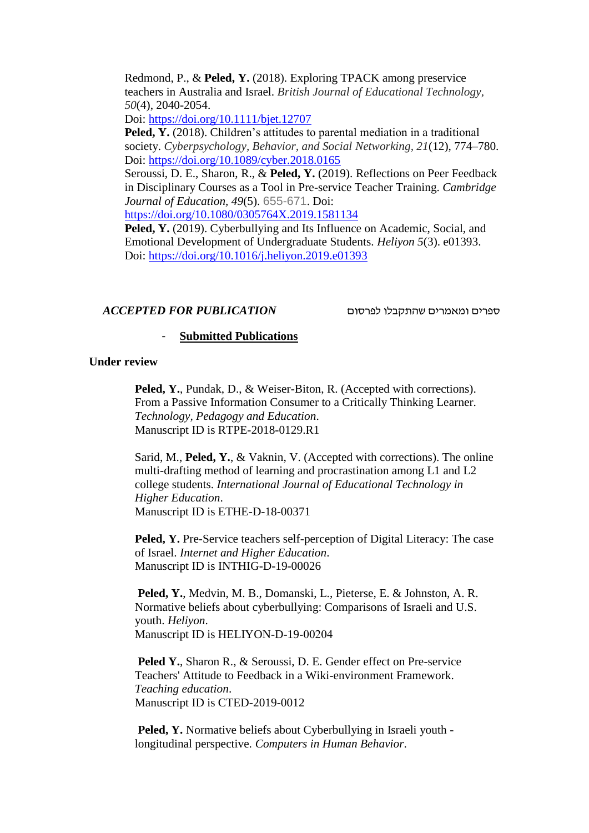Redmond, P., & **Peled, Y.** (2018). Exploring TPACK among preservice teachers in Australia and Israel. *British Journal of Educational Technology, 50*(4), 2040-2054.

Doi:<https://doi.org/10.1111/bjet.12707>

**Peled, Y.** (2018). Children's attitudes to parental mediation in a traditional society. *Cyberpsychology, Behavior, and Social Networking, 21*(12), 774–780. Doi:<https://doi.org/10.1089/cyber.2018.0165>

Seroussi, D. E., Sharon, R., & **Peled, Y.** (2019). Reflections on Peer Feedback in Disciplinary Courses as a Tool in Pre-service Teacher Training. *Cambridge Journal of Education, 49*(5). 655-671. Doi:

<https://doi.org/10.1080/0305764X.2019.1581134>

**Peled, Y.** (2019). Cyberbullying and Its Influence on Academic, Social, and Emotional Development of Undergraduate Students. *Heliyon 5*(3). e01393. Doi: [https://doi.org/10.1016/j.heliyon.2019.e01393](https://doi.org/10.​1016/​j.​heliyon.​2019.​e01393)

### ספרים ומאמרים שהתקבלו לפרסום *PUBLICATION FOR ACCEPTED*

### - **Submitted Publications**

### **Under review**

**Peled, Y.**, Pundak, D., & Weiser-Biton, R. (Accepted with corrections). From a Passive Information Consumer to a Critically Thinking Learner. *Technology, Pedagogy and Education*. Manuscript ID is RTPE-2018-0129.R1

Sarid, M., **Peled, Y.**, & Vaknin, V. (Accepted with corrections). The online multi-drafting method of learning and procrastination among L1 and L2 college students. *International Journal of Educational Technology in Higher Education*. Manuscript ID is ETHE-D-18-00371

**Peled, Y.** Pre-Service teachers self-perception of Digital Literacy: The case of Israel. *Internet and Higher Education*. Manuscript ID is INTHIG-D-19-00026

**Peled, Y.**, Medvin, M. B., Domanski, L., Pieterse, E. & Johnston, A. R. Normative beliefs about cyberbullying: Comparisons of Israeli and U.S. youth. *Heliyon*. Manuscript ID is HELIYON-D-19-00204  

**Peled Y.**, Sharon R., & Seroussi, D. E. Gender effect on Pre-service Teachers' Attitude to Feedback in a Wiki-environment Framework. *Teaching education*. Manuscript ID is CTED-2019-0012

**Peled, Y.** Normative beliefs about Cyberbullying in Israeli youth longitudinal perspective. *Computers in Human Behavior*.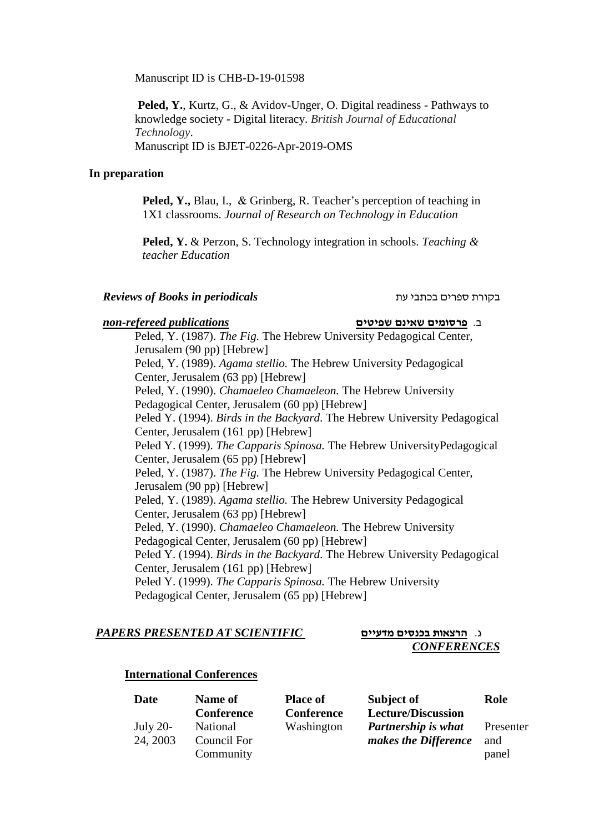Manuscript ID is CHB-D-19-01598

**Peled, Y.**, Kurtz, G., & Avidov-Unger, O. Digital readiness - Pathways to knowledge society - Digital literacy. *British Journal of Educational Technology*. Manuscript ID is BJET-0226-Apr-2019-OMS

### **In preparation**

**Peled, Y.,** Blau, I., & Grinberg, R. Teacher's perception of teaching in 1X1 classrooms. *Journal of Research on Technology in Education*

**Peled, Y.** & Perzon, S. Technology integration in schools. *Teaching & teacher Education*

### *Reviews of Books in periodicals* עת בכתבי ספרים בקורת

### ב. **פרסומים שאינם שפיטים** *publications refereed-non*

Peled, Y. (1987). *The Fig.* The Hebrew University Pedagogical Center, Jerusalem (90 pp) [Hebrew] Peled, Y. (1989). *Agama stellio.* The Hebrew University Pedagogical Center, Jerusalem (63 pp) [Hebrew] Peled, Y. (1990). *Chamaeleo Chamaeleon.* The Hebrew University Pedagogical Center, Jerusalem (60 pp) [Hebrew] Peled Y. (1994). *Birds in the Backyard.* The Hebrew University Pedagogical Center, Jerusalem (161 pp) [Hebrew] Peled Y. (1999). *The Capparis Spinosa.* The Hebrew UniversityPedagogical Center, Jerusalem (65 pp) [Hebrew] Peled, Y. (1987). *The Fig.* The Hebrew University Pedagogical Center, Jerusalem (90 pp) [Hebrew] Peled, Y. (1989). *Agama stellio.* The Hebrew University Pedagogical Center, Jerusalem (63 pp) [Hebrew] Peled, Y. (1990). *Chamaeleo Chamaeleon.* The Hebrew University Pedagogical Center, Jerusalem (60 pp) [Hebrew] Peled Y. (1994). *Birds in the Backyard.* The Hebrew University Pedagogical Center, Jerusalem (161 pp) [Hebrew] Peled Y. (1999). *The Capparis Spinosa.* The Hebrew University Pedagogical Center, Jerusalem (65 pp) [Hebrew]

### ג. **הרצאות בכנסים מדעיים** *SCIENTIFIC AT PRESENTED PAPERS*

# *CONFERENCES*

### **International Conferences**

| Date        | Name of           | <b>Place of</b> | Subject of                 | Role      |
|-------------|-------------------|-----------------|----------------------------|-----------|
|             | <b>Conference</b> | Conference      | <b>Lecture/Discussion</b>  |           |
| July $20$ - | National          | Washington      | <b>Partnership is what</b> | Presenter |
| 24, 2003    | Council For       |                 | makes the Difference       | and       |
|             | Community         |                 |                            | panel     |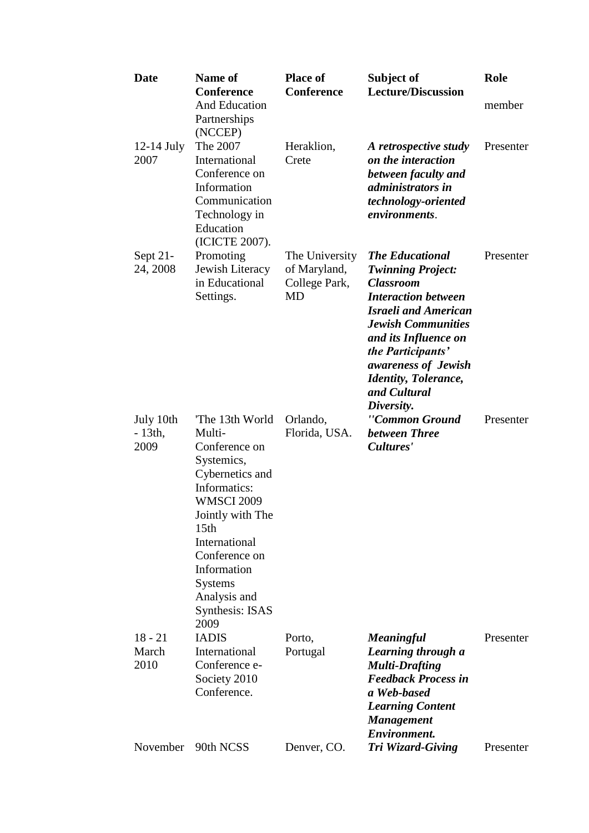| <b>Date</b>                    | <b>Name of</b><br><b>Conference</b>                                                                                                                                                                                                                                          | <b>Place of</b><br>Conference                         | Subject of<br><b>Lecture/Discussion</b>                                                                                                                                                                                                                                                            | Role      |
|--------------------------------|------------------------------------------------------------------------------------------------------------------------------------------------------------------------------------------------------------------------------------------------------------------------------|-------------------------------------------------------|----------------------------------------------------------------------------------------------------------------------------------------------------------------------------------------------------------------------------------------------------------------------------------------------------|-----------|
|                                | <b>And Education</b><br>Partnerships<br>(NCCEP)                                                                                                                                                                                                                              |                                                       |                                                                                                                                                                                                                                                                                                    | member    |
| $12-14$ July<br>2007           | The 2007<br>International<br>Conference on<br>Information<br>Communication<br>Technology in<br>Education<br>(ICICTE 2007).                                                                                                                                                   | Heraklion,<br>Crete                                   | A retrospective study<br>on the interaction<br>between faculty and<br><i>administrators in</i><br>technology-oriented<br>environments.                                                                                                                                                             | Presenter |
| Sept $21$ -<br>24, 2008        | Promoting<br>Jewish Literacy<br>in Educational<br>Settings.                                                                                                                                                                                                                  | The University<br>of Maryland,<br>College Park,<br>MD | <b>The Educational</b><br><b>Twinning Project:</b><br><b>Classroom</b><br><b>Interaction between</b><br><b>Israeli and American</b><br><b>Jewish Communities</b><br>and its Influence on<br>the Participants'<br>awareness of Jewish<br><b>Identity</b> , Tolerance,<br>and Cultural<br>Diversity. | Presenter |
| July 10th<br>$-13th$ ,<br>2009 | The 13th World<br>Multi-<br>Conference on<br>Systemics,<br>Cybernetics and<br>Informatics:<br><b>WMSCI 2009</b><br>Jointly with The<br>15 <sub>th</sub><br><b>International</b><br>Conference on<br>Information<br><b>Systems</b><br>Analysis and<br>Synthesis: ISAS<br>2009 | Orlando,<br>Florida, USA.                             | "Common Ground<br>between Three<br>Cultures'                                                                                                                                                                                                                                                       | Presenter |
| $18 - 21$<br>March<br>2010     | <b>IADIS</b><br>International<br>Conference e-<br>Society 2010<br>Conference.                                                                                                                                                                                                | Porto,<br>Portugal                                    | <b>Meaningful</b><br>Learning through a<br><b>Multi-Drafting</b><br><b>Feedback Process in</b><br>a Web-based<br><b>Learning Content</b><br><b>Management</b><br><b>Environment.</b>                                                                                                               | Presenter |
|                                | November 90th NCSS                                                                                                                                                                                                                                                           | Denver, CO.                                           | Tri Wizard-Giving                                                                                                                                                                                                                                                                                  | Presenter |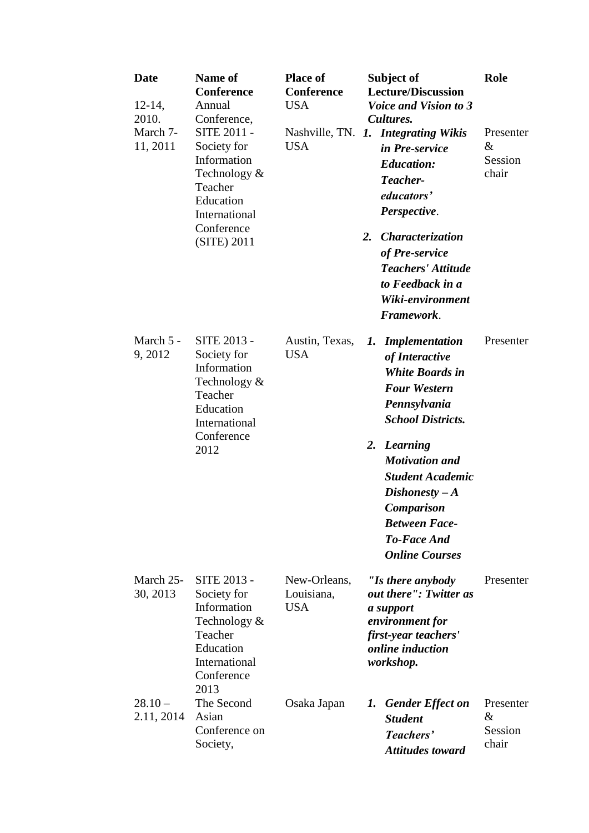| Date<br>$12-14,$<br>2010.<br>March 7-<br>11, 2011 | Name of<br>Conference<br>Annual<br>Conference,<br>SITE 2011 -<br>Society for<br>Information<br>Technology &<br>Teacher<br>Education<br>International<br>Conference<br>(SITE) 2011 | <b>Place of</b><br><b>Conference</b><br><b>USA</b><br><b>USA</b> | Subject of<br><b>Lecture/Discussion</b><br><b>Voice and Vision to 3</b><br>Cultures.<br>Nashville, TN. 1. Integrating Wikis<br>in Pre-service<br><b>Education:</b><br>Teacher-<br>educators'<br>Perspective.<br>2.<br>Characterization<br>of Pre-service<br><b>Teachers' Attitude</b><br>to Feedback in a<br>Wiki-environment<br>Framework. | Role<br>Presenter<br>$\&$<br>Session<br>chair |
|---------------------------------------------------|-----------------------------------------------------------------------------------------------------------------------------------------------------------------------------------|------------------------------------------------------------------|---------------------------------------------------------------------------------------------------------------------------------------------------------------------------------------------------------------------------------------------------------------------------------------------------------------------------------------------|-----------------------------------------------|
| March 5 -<br>9,2012                               | <b>SITE 2013 -</b><br>Society for<br>Information<br>Technology &<br>Teacher<br>Education<br>International<br>Conference<br>2012                                                   | Austin, Texas,<br><b>USA</b>                                     | <b>Implementation</b><br>1.<br>of Interactive<br><b>White Boards in</b><br><b>Four Western</b><br>Pennsylvania<br><b>School Districts.</b><br>2. Learning<br><b>Motivation</b> and<br><b>Student Academic</b><br>$Dishonesty - A$<br><b>Comparison</b><br><b>Between Face-</b><br><b>To-Face And</b><br><b>Online Courses</b>               | Presenter                                     |
| March 25-<br>30, 2013                             | <b>SITE 2013 -</b><br>Society for<br>Information<br>Technology &<br>Teacher<br>Education<br>International<br>Conference<br>2013                                                   | New-Orleans,<br>Louisiana,<br><b>USA</b>                         | "Is there anybody<br>out there": Twitter as<br>a support<br>environment for<br>first-year teachers'<br>online induction<br>workshop.                                                                                                                                                                                                        | Presenter                                     |
| $28.10 -$<br>2.11, 2014                           | The Second<br>Asian<br>Conference on<br>Society,                                                                                                                                  | Osaka Japan                                                      | $\mathbf{I}$ .<br><b>Gender Effect on</b><br><b>Student</b><br>Teachers'<br><b>Attitudes toward</b>                                                                                                                                                                                                                                         | Presenter<br>$\&$<br>Session<br>chair         |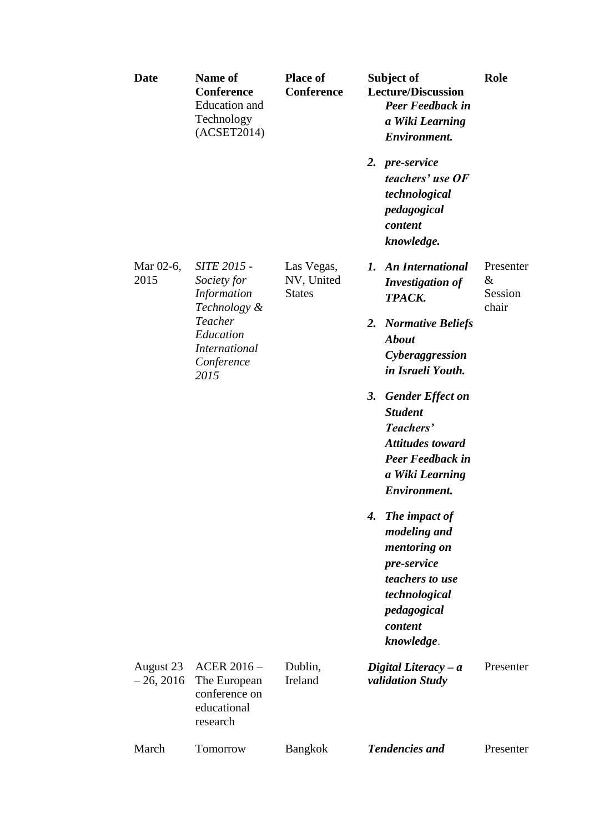| <b>Date</b>              | Name of<br><b>Conference</b><br><b>Education</b> and<br>Technology<br>(ACSET2014) | <b>Place of</b><br><b>Conference</b>      | Subject of<br><b>Lecture/Discussion</b><br><b>Peer Feedback in</b><br>a Wiki Learning<br>Environment.                                                        | Role                                  |
|--------------------------|-----------------------------------------------------------------------------------|-------------------------------------------|--------------------------------------------------------------------------------------------------------------------------------------------------------------|---------------------------------------|
|                          |                                                                                   |                                           | 2. pre-service<br>teachers' use OF<br>technological<br>pedagogical<br>content<br>knowledge.                                                                  |                                       |
| Mar 02-6,<br>2015        | SITE 2015 -<br>Society for<br>Information<br>Technology &                         | Las Vegas,<br>NV, United<br><b>States</b> | <b>An International</b><br>1.<br><b>Investigation of</b><br>TPACK.                                                                                           | Presenter<br>$\&$<br>Session<br>chair |
|                          | Teacher<br>Education<br><b>International</b><br>Conference<br>2015                |                                           | 2.<br><b>Normative Beliefs</b><br><b>About</b><br>Cyberaggression<br>in Israeli Youth.                                                                       |                                       |
|                          |                                                                                   |                                           | 3.<br><b>Gender Effect on</b><br><b>Student</b><br>Teachers'<br><b>Attitudes toward</b><br><b>Peer Feedback in</b><br>a Wiki Learning<br><b>Environment.</b> |                                       |
|                          |                                                                                   |                                           | The impact of<br>4.<br>modeling and<br>mentoring on<br>pre-service<br>teachers to use<br>technological<br>pedagogical<br>content<br>knowledge.               |                                       |
| August 23<br>$-26, 2016$ | ACER $2016-$<br>The European<br>conference on<br>educational<br>research          | Dublin,<br>Ireland                        | Digital Literacy $-a$<br>validation Study                                                                                                                    | Presenter                             |
| March                    | Tomorrow                                                                          | <b>Bangkok</b>                            | <b>Tendencies and</b>                                                                                                                                        | Presenter                             |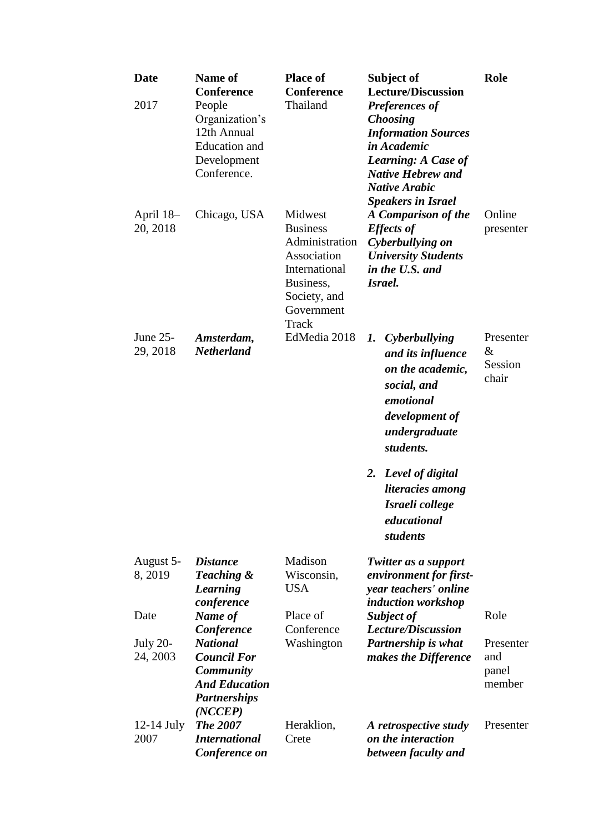| <b>Date</b><br>2017         | <b>Name of</b><br><b>Conference</b><br>People<br>Organization's<br>12th Annual<br><b>Education</b> and<br>Development<br>Conference. | <b>Place of</b><br><b>Conference</b><br>Thailand                                                                                 | Subject of<br><b>Lecture/Discussion</b><br><b>Preferences of</b><br><b>Choosing</b><br><b>Information Sources</b><br>in Academic<br><b>Learning: A Case of</b><br><b>Native Hebrew and</b><br><b>Native Arabic</b><br><b>Speakers in Israel</b> | Role                                |
|-----------------------------|--------------------------------------------------------------------------------------------------------------------------------------|----------------------------------------------------------------------------------------------------------------------------------|-------------------------------------------------------------------------------------------------------------------------------------------------------------------------------------------------------------------------------------------------|-------------------------------------|
| April 18–<br>20, 2018       | Chicago, USA                                                                                                                         | Midwest<br><b>Business</b><br>Administration<br>Association<br>International<br>Business,<br>Society, and<br>Government<br>Track | A Comparison of the<br><b>Effects of</b><br>Cyberbullying on<br><b>University Students</b><br>in the U.S. and<br>Israel.                                                                                                                        | Online<br>presenter                 |
| June 25-<br>29, 2018        | Amsterdam,<br><b>Netherland</b>                                                                                                      | EdMedia 2018                                                                                                                     | 1. Cyberbullying<br>and its influence<br>on the academic,<br>social, and<br>emotional<br>development of<br>undergraduate<br>students.                                                                                                           | Presenter<br>&<br>Session<br>chair  |
|                             |                                                                                                                                      |                                                                                                                                  | 2. Level of digital<br>literacies among<br>Israeli college<br>educational<br>students                                                                                                                                                           |                                     |
| August 5-<br>8, 2019        | <b>Distance</b><br>Teaching &<br>Learning<br>conference                                                                              | Madison<br>Wisconsin,<br><b>USA</b>                                                                                              | Twitter as a support<br>environment for first-<br>year teachers' online<br><i>induction workshop</i>                                                                                                                                            |                                     |
| Date                        | Name of<br>Conference                                                                                                                | Place of<br>Conference                                                                                                           | Subject of<br><b>Lecture/Discussion</b>                                                                                                                                                                                                         | Role                                |
| <b>July 20-</b><br>24, 2003 | <b>National</b><br><b>Council For</b><br><b>Community</b><br><b>And Education</b><br><b>Partnerships</b><br>(NCCEP)                  | Washington                                                                                                                       | Partnership is what<br>makes the Difference                                                                                                                                                                                                     | Presenter<br>and<br>panel<br>member |
| $12-14$ July<br>2007        | <b>The 2007</b><br><b>International</b><br>Conference on                                                                             | Heraklion,<br>Crete                                                                                                              | A retrospective study<br>on the interaction<br>between faculty and                                                                                                                                                                              | Presenter                           |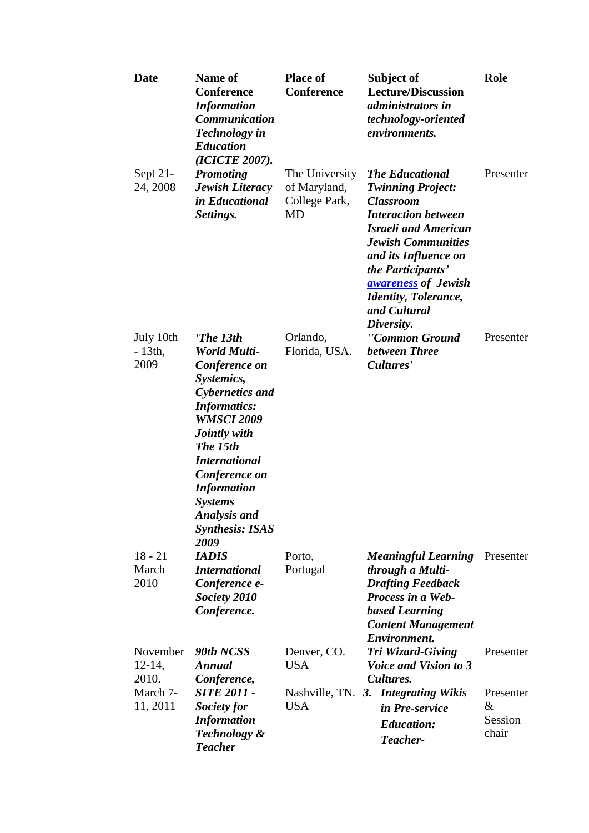| <b>Date</b>                    | Name of<br>Conference<br><b>Information</b><br>Communication<br><b>Technology</b> in<br><b>Education</b><br>(ICICTE 2007).                                                                                                                                                                                  | <b>Place of</b><br><b>Conference</b>                  | Subject of<br><b>Lecture/Discussion</b><br>administrators in<br>technology-oriented<br>environments.                                                                                                                                                                                                      | Role                                  |
|--------------------------------|-------------------------------------------------------------------------------------------------------------------------------------------------------------------------------------------------------------------------------------------------------------------------------------------------------------|-------------------------------------------------------|-----------------------------------------------------------------------------------------------------------------------------------------------------------------------------------------------------------------------------------------------------------------------------------------------------------|---------------------------------------|
| Sept $21$ -<br>24, 2008        | <b>Promoting</b><br><b>Jewish Literacy</b><br>in Educational<br>Settings.                                                                                                                                                                                                                                   | The University<br>of Maryland,<br>College Park,<br>MD | <b>The Educational</b><br><b>Twinning Project:</b><br><b>Classroom</b><br><b>Interaction between</b><br><b>Israeli and American</b><br><b>Jewish Communities</b><br>and its Influence on<br>the Participants'<br><b>awareness of Jewish</b><br><b>Identity</b> , Tolerance,<br>and Cultural<br>Diversity. | Presenter                             |
| July 10th<br>$-13$ th,<br>2009 | 'The 13th<br><b>World Multi-</b><br>Conference on<br>Systemics,<br><b>Cybernetics and</b><br><b>Informatics:</b><br><b>WMSCI 2009</b><br>Jointly with<br>The 15th<br><b>International</b><br>Conference on<br><b>Information</b><br><b>Systems</b><br><b>Analysis and</b><br><b>Synthesis: ISAS</b><br>2009 | Orlando,<br>Florida, USA.                             | "Common Ground<br>between Three<br>Cultures'                                                                                                                                                                                                                                                              | Presenter                             |
| $18 - 21$<br>March<br>2010     | <b>IADIS</b><br><i><b>International</b></i><br>Conference e-<br>Society 2010<br>Conference.                                                                                                                                                                                                                 | Porto,<br>Portugal                                    | <b>Meaningful Learning</b><br>through a Multi-<br><b>Drafting Feedback</b><br>Process in a Web-<br><b>based Learning</b><br><b>Content Management</b><br><b>Environment.</b>                                                                                                                              | Presenter                             |
| November<br>$12-14,$<br>2010.  | 90th NCSS<br>Annual<br>Conference,                                                                                                                                                                                                                                                                          | Denver, CO.<br><b>USA</b>                             | Tri Wizard-Giving<br><i>Voice and Vision to 3</i><br>Cultures.                                                                                                                                                                                                                                            | Presenter                             |
| March 7-<br>11, 2011           | <b>SITE 2011 -</b><br>Society for<br><b>Information</b><br><b>Technology &amp;</b><br><b>Teacher</b>                                                                                                                                                                                                        | Nashville, TN. 3.<br><b>USA</b>                       | <b>Integrating Wikis</b><br>in Pre-service<br><b>Education:</b><br>Teacher-                                                                                                                                                                                                                               | Presenter<br>$\&$<br>Session<br>chair |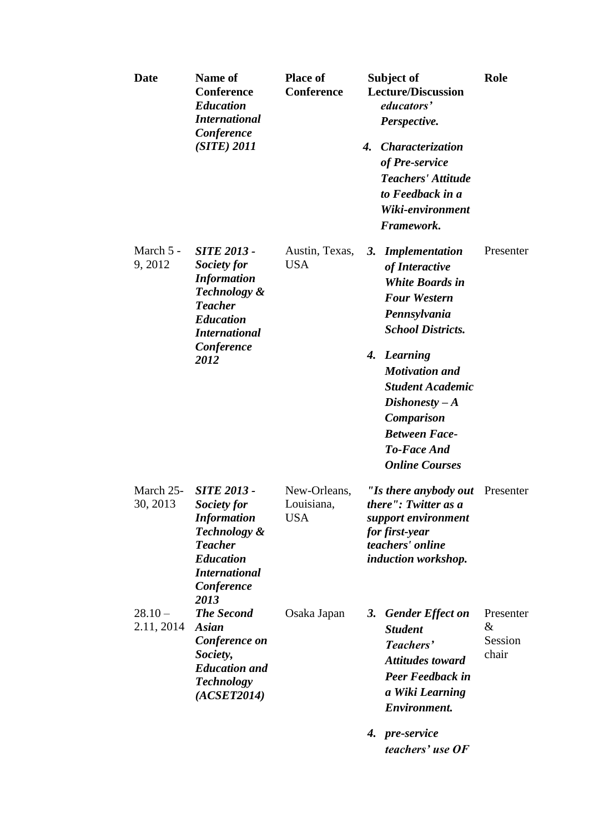| <b>Date</b>             | Name of<br><b>Conference</b><br><b>Education</b><br><b>International</b><br>Conference<br>$(SITE)$ 2011                                                     | <b>Place of</b><br>Conference            | Subject of<br><b>Lecture/Discussion</b><br>educators'<br>Perspective.<br>4.<br><i><b>Characterization</b></i><br>of Pre-service<br><b>Teachers' Attitude</b><br>to Feedback in a<br>Wiki-environment<br>Framework.                                                                                                            | Role                                  |
|-------------------------|-------------------------------------------------------------------------------------------------------------------------------------------------------------|------------------------------------------|-------------------------------------------------------------------------------------------------------------------------------------------------------------------------------------------------------------------------------------------------------------------------------------------------------------------------------|---------------------------------------|
| March 5 -<br>9, 2012    | <b>SITE 2013 -</b><br>Society for<br><b>Information</b><br>Technology &<br><b>Teacher</b><br><b>Education</b><br><b>International</b><br>Conference<br>2012 | Austin, Texas,<br><b>USA</b>             | <b>Implementation</b><br>3.<br>of Interactive<br><b>White Boards in</b><br><b>Four Western</b><br>Pennsylvania<br><b>School Districts.</b><br>4. Learning<br><b>Motivation and</b><br><b>Student Academic</b><br>$Dishonesty - A$<br><b>Comparison</b><br><b>Between Face-</b><br><b>To-Face And</b><br><b>Online Courses</b> | Presenter                             |
| March 25-<br>30, 2013   | <b>SITE 2013 -</b><br>Society for<br><b>Information</b><br>Technology &<br><b>Teacher</b><br><b>Education</b><br><b>International</b><br>Conference<br>2013 | New-Orleans,<br>Louisiana,<br><b>USA</b> | "Is there anybody out<br>there": Twitter as a<br>support environment<br>for first-year<br>teachers' online<br>induction workshop.                                                                                                                                                                                             | Presenter                             |
| $28.10 -$<br>2.11, 2014 | <b>The Second</b><br>Asian<br>Conference on<br>Society,<br><b>Education and</b><br><b>Technology</b><br>(ACSET2014)                                         | Osaka Japan                              | 3.<br><b>Gender Effect on</b><br><b>Student</b><br>Teachers'<br><b>Attitudes toward</b><br><b>Peer Feedback in</b><br>a Wiki Learning<br><b>Environment.</b><br>4. pre-service<br>teachers' use OF                                                                                                                            | Presenter<br>$\&$<br>Session<br>chair |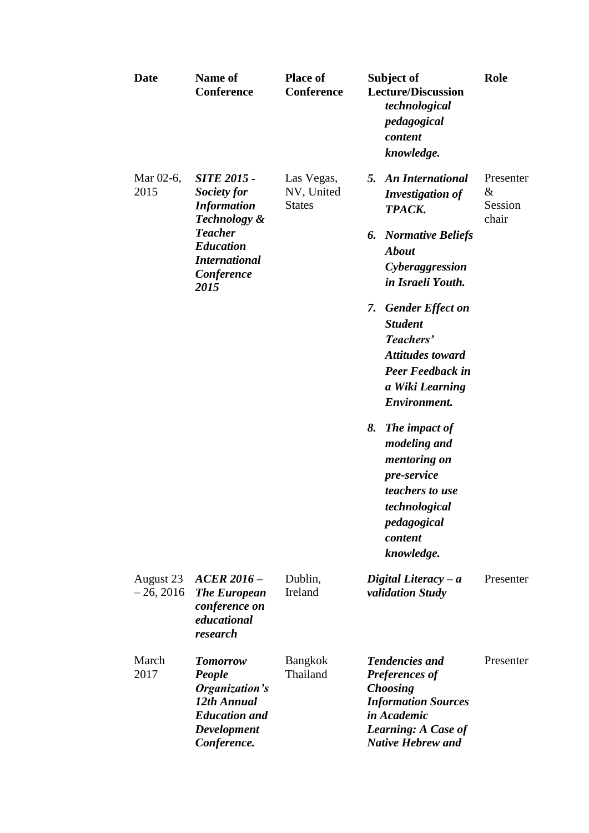| Date                     | <b>Name of</b><br><b>Conference</b>                                                                                                                                    | <b>Place of</b><br><b>Conference</b>      | Subject of<br><b>Lecture/Discussion</b><br>technological<br>pedagogical<br>content<br>knowledge.                                                                                                                                                                                                                                                                                                                                                                                             | Role                                  |
|--------------------------|------------------------------------------------------------------------------------------------------------------------------------------------------------------------|-------------------------------------------|----------------------------------------------------------------------------------------------------------------------------------------------------------------------------------------------------------------------------------------------------------------------------------------------------------------------------------------------------------------------------------------------------------------------------------------------------------------------------------------------|---------------------------------------|
| Mar 02-6,<br>2015        | <b>SITE 2015 -</b><br>Society for<br><b>Information</b><br><b>Technology &amp;</b><br><b>Teacher</b><br><b>Education</b><br><b>International</b><br>Conference<br>2015 | Las Vegas,<br>NV, United<br><b>States</b> | <b>An International</b><br>5.<br><b>Investigation of</b><br>TPACK.<br><b>Normative Beliefs</b><br>6.<br><b>About</b><br>Cyberaggression<br>in Israeli Youth.<br><b>Gender Effect on</b><br>7.<br><b>Student</b><br>Teachers'<br><b>Attitudes toward</b><br><b>Peer Feedback in</b><br>a Wiki Learning<br><b>Environment.</b><br>8.<br>The impact of<br><i>modeling and</i><br>mentoring on<br><i>pre-service</i><br>teachers to use<br>technological<br>pedagogical<br>content<br>knowledge. | Presenter<br>$\&$<br>Session<br>chair |
| August 23<br>$-26, 2016$ | $ACER 2016 -$<br><b>The European</b><br>conference on<br>educational<br>research                                                                                       | Dublin,<br>Ireland                        | Digital Literacy $-a$<br>validation Study                                                                                                                                                                                                                                                                                                                                                                                                                                                    | Presenter                             |
| March<br>2017            | <b>Tomorrow</b><br>People<br>Organization's<br>12th Annual<br><b>Education and</b><br><b>Development</b><br>Conference.                                                | <b>Bangkok</b><br>Thailand                | <b>Tendencies and</b><br><b>Preferences of</b><br><b>Choosing</b><br><b>Information Sources</b><br>in Academic<br><b>Learning: A Case of</b><br><b>Native Hebrew and</b>                                                                                                                                                                                                                                                                                                                     | Presenter                             |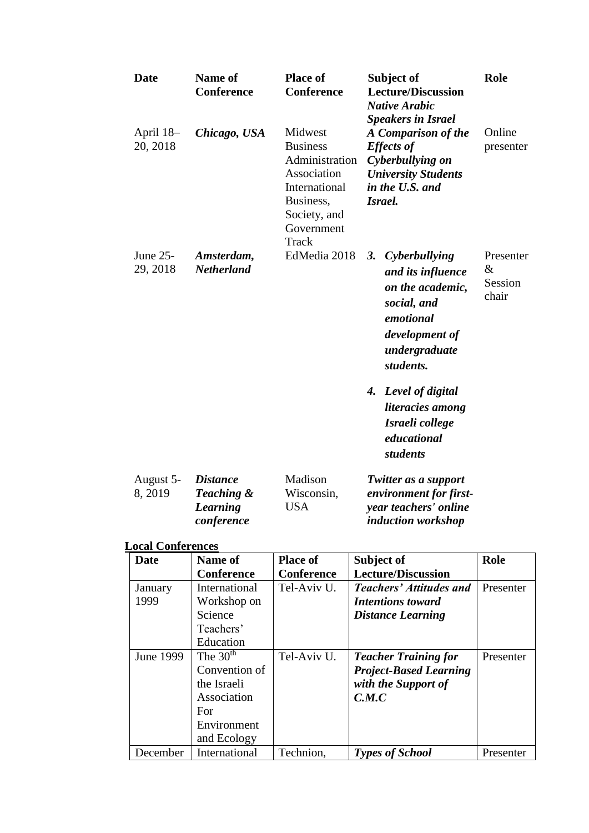| <b>Date</b>           | Name of<br><b>Conference</b>                                   | <b>Place of</b><br><b>Conference</b>                                                                                             | Subject of<br><b>Lecture/Discussion</b><br><b>Native Arabic</b><br><b>Speakers in Israel</b>                                             | Role                                  |
|-----------------------|----------------------------------------------------------------|----------------------------------------------------------------------------------------------------------------------------------|------------------------------------------------------------------------------------------------------------------------------------------|---------------------------------------|
| April 18–<br>20, 2018 | Chicago, USA                                                   | Midwest<br><b>Business</b><br>Administration<br>Association<br>International<br>Business,<br>Society, and<br>Government<br>Track | A Comparison of the<br><b>Effects of</b><br>Cyberbullying on<br><b>University Students</b><br>in the U.S. and<br>Israel.                 | Online<br>presenter                   |
| June 25-<br>29, 2018  | Amsterdam,<br><b>Netherland</b>                                | EdMedia 2018                                                                                                                     | Cyberbullying<br>3.<br>and its influence<br>on the academic,<br>social, and<br>emotional<br>development of<br>undergraduate<br>students. | Presenter<br>$\&$<br>Session<br>chair |
|                       |                                                                |                                                                                                                                  | 4. Level of digital<br>literacies among<br>Israeli college<br>educational<br>students                                                    |                                       |
| August 5-<br>8, 2019  | <b>Distance</b><br>Teaching &<br><b>Learning</b><br>conference | Madison<br>Wisconsin,<br><b>USA</b>                                                                                              | Twitter as a support<br>environment for first-<br>year teachers' online<br>induction workshop                                            |                                       |

### **Local Conferences**

| <b>Date</b> | Name of       | <b>Place of</b>   | Subject of                     | Role      |
|-------------|---------------|-------------------|--------------------------------|-----------|
|             | Conference    | <b>Conference</b> | <b>Lecture/Discussion</b>      |           |
| January     | International | Tel-Aviv U.       | <b>Teachers' Attitudes and</b> | Presenter |
| 1999        | Workshop on   |                   | <b>Intentions toward</b>       |           |
|             | Science       |                   | <b>Distance Learning</b>       |           |
|             | Teachers'     |                   |                                |           |
|             | Education     |                   |                                |           |
| June 1999   | The $30th$    | Tel-Aviv U.       | <b>Teacher Training for</b>    | Presenter |
|             | Convention of |                   | <b>Project-Based Learning</b>  |           |
|             | the Israeli   |                   | with the Support of            |           |
|             | Association   |                   | C.M.C                          |           |
|             | For           |                   |                                |           |
|             | Environment   |                   |                                |           |
|             | and Ecology   |                   |                                |           |
| December    | International | Technion,         | <b>Types of School</b>         | Presenter |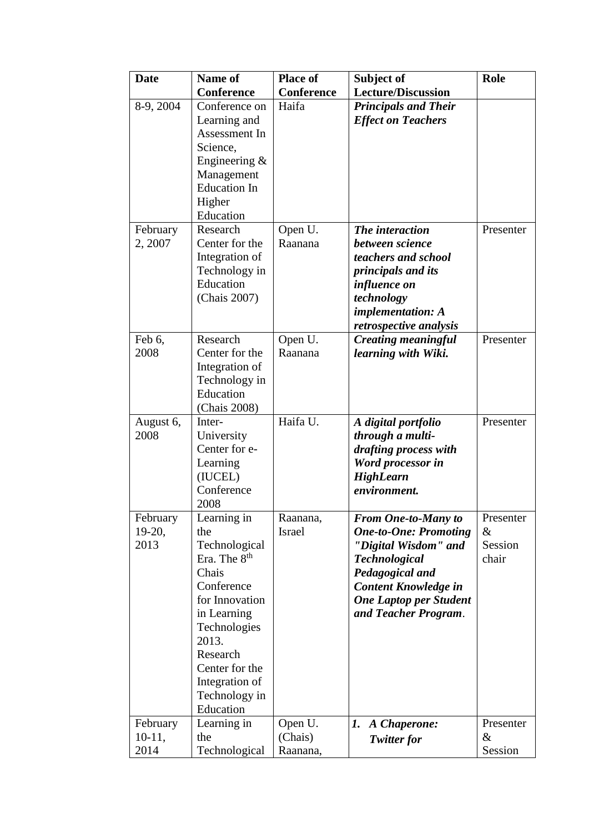| <b>Date</b>           | Name of                                   | <b>Place of</b>           | Subject of                                   | Role      |
|-----------------------|-------------------------------------------|---------------------------|----------------------------------------------|-----------|
|                       | <b>Conference</b>                         | Conference                | <b>Lecture/Discussion</b>                    |           |
| 8-9, 2004             | Conference on                             | Haifa                     | <b>Principals and Their</b>                  |           |
|                       | Learning and                              |                           | <b>Effect on Teachers</b>                    |           |
|                       | Assessment In                             |                           |                                              |           |
|                       | Science,                                  |                           |                                              |           |
|                       | Engineering &                             |                           |                                              |           |
|                       | Management                                |                           |                                              |           |
|                       | <b>Education In</b>                       |                           |                                              |           |
|                       | Higher                                    |                           |                                              |           |
|                       | Education                                 |                           |                                              |           |
| February              | Research                                  | Open U.                   | The interaction                              | Presenter |
| 2, 2007               | Center for the                            | Raanana                   | between science                              |           |
|                       | Integration of                            |                           | teachers and school                          |           |
|                       | Technology in                             |                           | <i>principals and its</i>                    |           |
|                       | Education                                 |                           | influence on                                 |           |
|                       | (Chais 2007)                              |                           | technology                                   |           |
|                       |                                           |                           | <i>implementation: A</i>                     |           |
|                       |                                           |                           | retrospective analysis                       |           |
| Feb 6,                | Research                                  | Open U.                   | <b>Creating meaningful</b>                   | Presenter |
| 2008                  | Center for the                            | Raanana                   | learning with Wiki.                          |           |
|                       | Integration of                            |                           |                                              |           |
|                       | Technology in                             |                           |                                              |           |
|                       | Education                                 |                           |                                              |           |
|                       | (Chais 2008)                              |                           |                                              |           |
| August 6,             | Inter-                                    | Haifa U.                  | A digital portfolio                          | Presenter |
| 2008                  | University                                |                           | through a multi-                             |           |
|                       | Center for e-                             |                           | drafting process with                        |           |
|                       | Learning                                  |                           | Word processor in                            |           |
|                       | (IUCEL)                                   |                           | <b>HighLearn</b>                             |           |
|                       | Conference                                |                           | environment.                                 |           |
|                       | 2008                                      |                           | <b>From One-to-Many to</b>                   | Presenter |
| February<br>$19-20$ , | Learning in<br>the                        | Raanana,<br><b>Israel</b> |                                              | $\&$      |
| 2013                  |                                           |                           | <b>One-to-One: Promoting</b>                 | Session   |
|                       | Technological<br>Era. The 8 <sup>th</sup> |                           | "Digital Wisdom" and<br><b>Technological</b> | chair     |
|                       | Chais                                     |                           | Pedagogical and                              |           |
|                       | Conference                                |                           | Content Knowledge in                         |           |
|                       | for Innovation                            |                           | <b>One Laptop per Student</b>                |           |
|                       | in Learning                               |                           | and Teacher Program.                         |           |
|                       | Technologies                              |                           |                                              |           |
|                       | 2013.                                     |                           |                                              |           |
|                       | Research                                  |                           |                                              |           |
|                       | Center for the                            |                           |                                              |           |
|                       | Integration of                            |                           |                                              |           |
|                       | Technology in                             |                           |                                              |           |
|                       | Education                                 |                           |                                              |           |
| February              | Learning in                               | Open U.                   | 1.<br>A Chaperone:                           | Presenter |
| $10-11,$              | the                                       | (Chais)                   | Twitter for                                  | &         |
| 2014                  | Technological                             | Raanana,                  |                                              | Session   |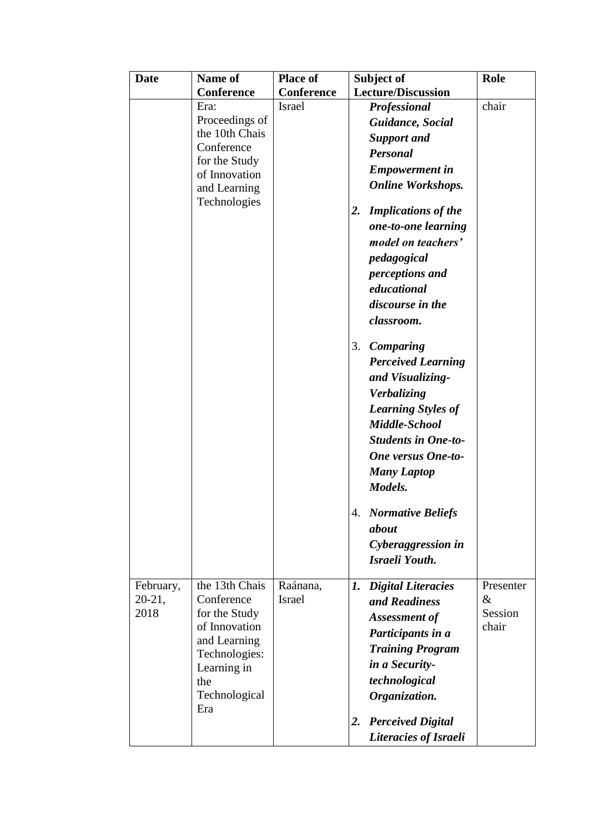| <b>Date</b>           | Name of                      | <b>Place of</b>           | Subject of                       | Role              |
|-----------------------|------------------------------|---------------------------|----------------------------------|-------------------|
|                       | <b>Conference</b>            | <b>Conference</b>         | <b>Lecture/Discussion</b>        |                   |
|                       | Era:                         | <b>Israel</b>             | <b>Professional</b>              | chair             |
|                       | Proceedings of               |                           | Guidance, Social                 |                   |
|                       | the 10th Chais               |                           | <b>Support and</b>               |                   |
|                       | Conference<br>for the Study  |                           | Personal                         |                   |
|                       | of Innovation                |                           | <b>Empowerment</b> in            |                   |
|                       | and Learning                 |                           | <b>Online Workshops.</b>         |                   |
|                       | Technologies                 |                           | <b>Implications of the</b><br>2. |                   |
|                       |                              |                           | one-to-one learning              |                   |
|                       |                              |                           | model on teachers'               |                   |
|                       |                              |                           | pedagogical                      |                   |
|                       |                              |                           | perceptions and                  |                   |
|                       |                              |                           | educational                      |                   |
|                       |                              |                           | discourse in the                 |                   |
|                       |                              |                           | classroom.                       |                   |
|                       |                              |                           |                                  |                   |
|                       |                              |                           | 3.<br><b>Comparing</b>           |                   |
|                       |                              |                           | <b>Perceived Learning</b>        |                   |
|                       |                              |                           | and Visualizing-                 |                   |
|                       |                              |                           | Verbalizing                      |                   |
|                       |                              |                           | <b>Learning Styles of</b>        |                   |
|                       |                              |                           | Middle-School                    |                   |
|                       |                              |                           | <b>Students in One-to-</b>       |                   |
|                       |                              |                           | <b>One versus One-to-</b>        |                   |
|                       |                              |                           | <b>Many Laptop</b>               |                   |
|                       |                              |                           | Models.                          |                   |
|                       |                              |                           | 4. Normative Beliefs             |                   |
|                       |                              |                           | about                            |                   |
|                       |                              |                           | Cyberaggression in               |                   |
|                       |                              |                           | Israeli Youth.                   |                   |
|                       |                              |                           |                                  |                   |
| February,<br>$20-21,$ | the 13th Chais<br>Conference | Raánana,<br><b>Israel</b> | <b>Digital Literacies</b><br>1.  | Presenter<br>$\&$ |
| 2018                  | for the Study                |                           | and Readiness                    | Session           |
|                       | of Innovation                |                           | Assessment of                    | chair             |
|                       | and Learning                 |                           | Participants in a                |                   |
|                       | Technologies:                |                           | <b>Training Program</b>          |                   |
|                       | Learning in                  |                           | in a Security-                   |                   |
|                       | the                          |                           | technological                    |                   |
|                       | Technological<br>Era         |                           | Organization.                    |                   |
|                       |                              |                           | <b>Perceived Digital</b><br>2.   |                   |
|                       |                              |                           | Literacies of Israeli            |                   |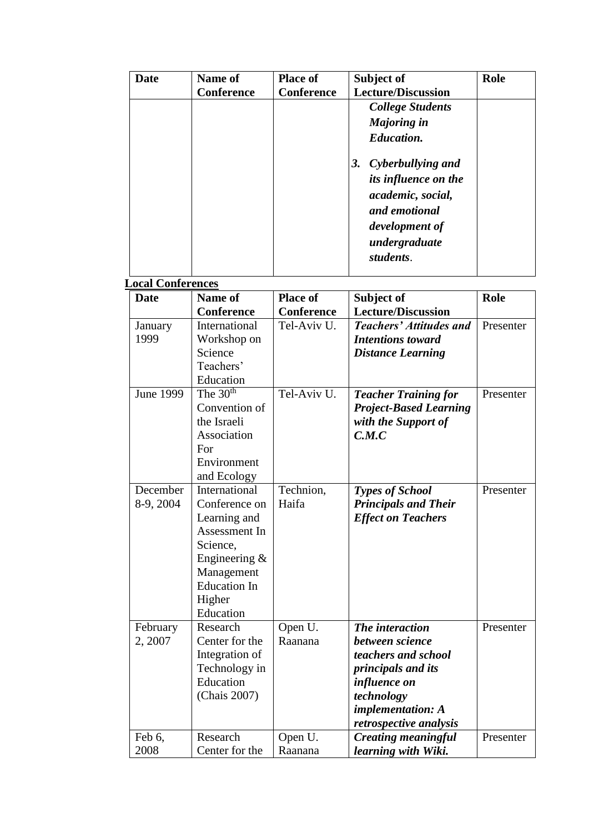| Date | Name of    | <b>Place of</b>   | Subject of                     | Role |
|------|------------|-------------------|--------------------------------|------|
|      | Conference | <b>Conference</b> | <b>Lecture/Discussion</b>      |      |
|      |            |                   | <b>College Students</b>        |      |
|      |            |                   | <b>Majoring in</b>             |      |
|      |            |                   | <b>Education.</b>              |      |
|      |            |                   | Cyberbullying and<br><b>3.</b> |      |
|      |            |                   | its influence on the           |      |
|      |            |                   | academic, social,              |      |
|      |            |                   | and emotional                  |      |
|      |            |                   | development of                 |      |
|      |            |                   | undergraduate                  |      |
|      |            |                   | students.                      |      |
|      |            |                   |                                |      |

# **Local Conferences**

| waa comatanas<br>Date | Name of                  | <b>Place of</b> | Subject of                     | Role      |
|-----------------------|--------------------------|-----------------|--------------------------------|-----------|
|                       | <b>Conference</b>        | Conference      | <b>Lecture/Discussion</b>      |           |
| January               | International            | Tel-Aviv U.     | <b>Teachers' Attitudes and</b> | Presenter |
| 1999                  | Workshop on              |                 | <b>Intentions toward</b>       |           |
|                       | Science                  |                 | <b>Distance Learning</b>       |           |
|                       | Teachers'                |                 |                                |           |
|                       | Education                |                 |                                |           |
| <b>June 1999</b>      | The $3\overline{0^{th}}$ | Tel-Aviv U.     | <b>Teacher Training for</b>    | Presenter |
|                       | Convention of            |                 | <b>Project-Based Learning</b>  |           |
|                       | the Israeli              |                 | with the Support of            |           |
|                       | Association              |                 | C.M.C                          |           |
|                       | For                      |                 |                                |           |
|                       | Environment              |                 |                                |           |
|                       | and Ecology              |                 |                                |           |
| December              | International            | Technion,       | <b>Types of School</b>         | Presenter |
| 8-9, 2004             | Conference on            | Haifa           | <b>Principals and Their</b>    |           |
|                       | Learning and             |                 | <b>Effect on Teachers</b>      |           |
|                       | Assessment In            |                 |                                |           |
|                       | Science,                 |                 |                                |           |
|                       | Engineering &            |                 |                                |           |
|                       | Management               |                 |                                |           |
|                       | <b>Education In</b>      |                 |                                |           |
|                       | Higher                   |                 |                                |           |
|                       | Education                |                 |                                |           |
| February              | Research                 | Open U.         | The interaction                | Presenter |
| 2, 2007               | Center for the           | Raanana         | between science                |           |
|                       | Integration of           |                 | teachers and school            |           |
|                       | Technology in            |                 | principals and its             |           |
|                       | Education                |                 | influence on                   |           |
|                       | (Chais 2007)             |                 | technology                     |           |
|                       |                          |                 | implementation: A              |           |
|                       |                          |                 | retrospective analysis         |           |
| Feb 6,                | Research                 | Open U.         | <b>Creating meaningful</b>     | Presenter |
| 2008                  | Center for the           | Raanana         | learning with Wiki.            |           |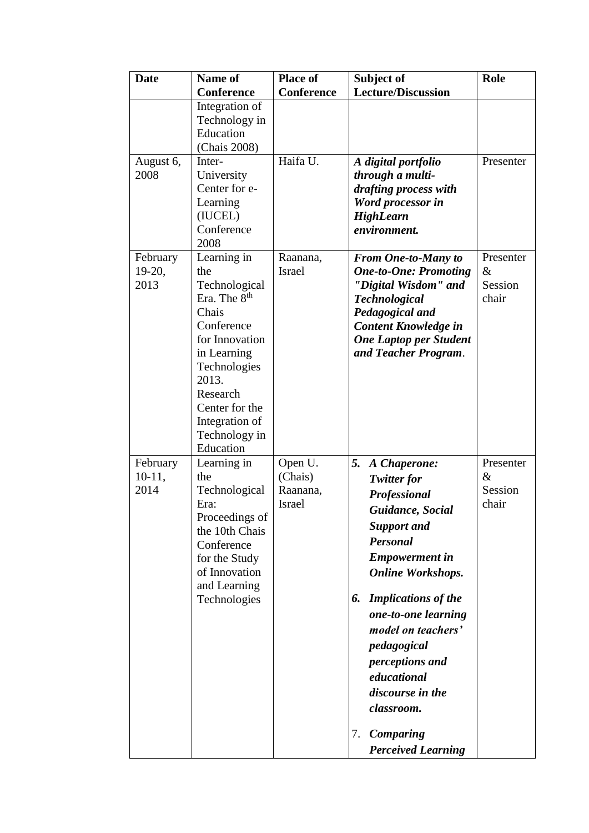| <b>Date</b>                  | <b>Name of</b><br><b>Conference</b>                                                                                                                                                                                            | <b>Place of</b><br><b>Conference</b>            | Subject of<br><b>Lecture/Discussion</b>                                                                                                                                                                                                                                                                                                                                                        | <b>Role</b>                           |
|------------------------------|--------------------------------------------------------------------------------------------------------------------------------------------------------------------------------------------------------------------------------|-------------------------------------------------|------------------------------------------------------------------------------------------------------------------------------------------------------------------------------------------------------------------------------------------------------------------------------------------------------------------------------------------------------------------------------------------------|---------------------------------------|
|                              | Integration of<br>Technology in<br>Education<br>(Chais 2008)                                                                                                                                                                   |                                                 |                                                                                                                                                                                                                                                                                                                                                                                                |                                       |
| August 6,<br>2008            | Inter-<br>University<br>Center for e-<br>Learning<br>(IUCEL)<br>Conference<br>2008                                                                                                                                             | Haifa U.                                        | A digital portfolio<br>through a multi-<br>drafting process with<br>Word processor in<br><b>HighLearn</b><br>environment.                                                                                                                                                                                                                                                                      | Presenter                             |
| February<br>$19-20,$<br>2013 | Learning in<br>the<br>Technological<br>Era. The 8 <sup>th</sup><br>Chais<br>Conference<br>for Innovation<br>in Learning<br>Technologies<br>2013.<br>Research<br>Center for the<br>Integration of<br>Technology in<br>Education | Raanana,<br>Israel                              | <b>From One-to-Many to</b><br><b>One-to-One: Promoting</b><br>"Digital Wisdom" and<br><b>Technological</b><br>Pedagogical and<br>Content Knowledge in<br><b>One Laptop per Student</b><br>and Teacher Program.                                                                                                                                                                                 | Presenter<br>$\&$<br>Session<br>chair |
| February<br>$10-11,$<br>2014 | Learning in<br>the<br>Technological<br>Era:<br>Proceedings of<br>the 10th Chais<br>Conference<br>for the Study<br>of Innovation<br>and Learning<br>Technologies                                                                | Open U.<br>(Chais)<br>Raanana,<br><b>Israel</b> | 5.<br>A Chaperone:<br><b>Twitter for</b><br>Professional<br>Guidance, Social<br><b>Support and</b><br>Personal<br><b>Empowerment</b> in<br><b>Online Workshops.</b><br><b>Implications of the</b><br>6.<br>one-to-one learning<br>model on teachers'<br>pedagogical<br>perceptions and<br>educational<br>discourse in the<br>classroom.<br><b>Comparing</b><br>7.<br><b>Perceived Learning</b> | Presenter<br>&<br>Session<br>chair    |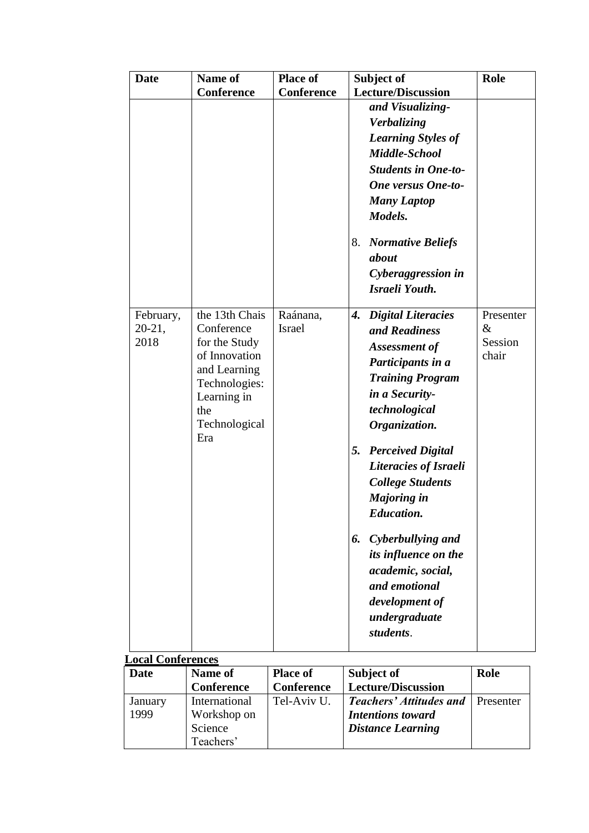| <b>Date</b>                   | Name of                                                                                                                                       | <b>Place of</b>           | Subject of                                                                                                                                                                                                                                                                                | Role                                  |
|-------------------------------|-----------------------------------------------------------------------------------------------------------------------------------------------|---------------------------|-------------------------------------------------------------------------------------------------------------------------------------------------------------------------------------------------------------------------------------------------------------------------------------------|---------------------------------------|
|                               | <b>Conference</b>                                                                                                                             | <b>Conference</b>         | <b>Lecture/Discussion</b><br>and Visualizing-<br>Verbalizing<br><b>Learning Styles of</b><br>Middle-School<br><b>Students in One-to-</b><br><b>One versus One-to-</b><br><b>Many Laptop</b><br>Models.<br>8.<br><b>Normative Beliefs</b><br>about<br>Cyberaggression in<br>Israeli Youth. |                                       |
| February,<br>$20-21,$<br>2018 | the 13th Chais<br>Conference<br>for the Study<br>of Innovation<br>and Learning<br>Technologies:<br>Learning in<br>the<br>Technological<br>Era | Raánana,<br><b>Israel</b> | <b>Digital Literacies</b><br>4.<br>and Readiness<br>Assessment of<br>Participants in a<br><b>Training Program</b><br>in a Security-<br>technological<br>Organization.                                                                                                                     | Presenter<br>$\&$<br>Session<br>chair |
|                               |                                                                                                                                               |                           | <b>Perceived Digital</b><br>5.<br>Literacies of Israeli<br><b>College Students</b><br><b>Majoring in</b><br><b>Education.</b>                                                                                                                                                             |                                       |
|                               |                                                                                                                                               |                           | Cyberbullying and<br>6.<br>its influence on the<br>academic, social,<br>and emotional<br>development of<br>undergraduate<br>students.                                                                                                                                                     |                                       |

| <b>LOCAL COMETENCES</b> |                   |                 |                                |           |
|-------------------------|-------------------|-----------------|--------------------------------|-----------|
| Date                    | Name of           | <b>Place of</b> | Subject of                     | Role      |
|                         | <b>Conference</b> | Conference      | <b>Lecture/Discussion</b>      |           |
| January                 | International     | Tel-Aviv U.     | <b>Teachers' Attitudes and</b> | Presenter |
| 1999                    | Workshop on       |                 | <b>Intentions toward</b>       |           |
|                         | Science           |                 | <b>Distance Learning</b>       |           |
|                         | Teachers'         |                 |                                |           |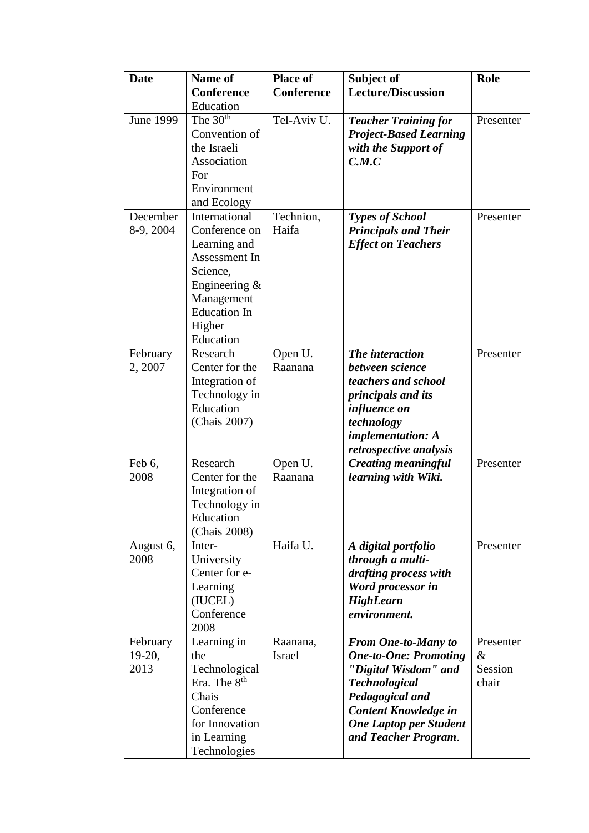| <b>Date</b>                  | Name of                                                                                                                                                     | <b>Place of</b>           | Subject of                                                                                                                                                                                                            | Role                                  |
|------------------------------|-------------------------------------------------------------------------------------------------------------------------------------------------------------|---------------------------|-----------------------------------------------------------------------------------------------------------------------------------------------------------------------------------------------------------------------|---------------------------------------|
|                              | <b>Conference</b>                                                                                                                                           | <b>Conference</b>         | <b>Lecture/Discussion</b>                                                                                                                                                                                             |                                       |
|                              | Education                                                                                                                                                   |                           |                                                                                                                                                                                                                       |                                       |
| <b>June 1999</b>             | The $30th$<br>Convention of<br>the Israeli<br>Association<br>For<br>Environment<br>and Ecology                                                              | Tel-Aviv U.               | <b>Teacher Training for</b><br><b>Project-Based Learning</b><br>with the Support of<br>C.M.C                                                                                                                          | Presenter                             |
| December<br>8-9, 2004        | International<br>Conference on<br>Learning and<br>Assessment In<br>Science,<br>Engineering $\&$<br>Management<br><b>Education In</b><br>Higher<br>Education | Technion,<br>Haifa        | <b>Types of School</b><br><b>Principals and Their</b><br><b>Effect on Teachers</b>                                                                                                                                    | Presenter                             |
| February<br>2, 2007          | Research<br>Center for the<br>Integration of<br>Technology in<br>Education<br>(Chais 2007)                                                                  | Open U.<br>Raanana        | The interaction<br>between science<br>teachers and school<br><i>principals and its</i><br><i>influence on</i><br>technology<br>implementation: A<br>retrospective analysis                                            | Presenter                             |
| Feb 6,<br>2008               | Research<br>Center for the<br>Integration of<br>Technology in<br>Education<br>(Chais 2008)                                                                  | Open U.<br>Raanana        | <b>Creating meaningful</b><br>learning with Wiki.                                                                                                                                                                     | Presenter                             |
| August 6,<br>2008            | Inter-<br>University<br>Center for e-<br>Learning<br>(IUCEL)<br>Conference<br>2008                                                                          | Haifa U.                  | A digital portfolio<br>through a multi-<br>drafting process with<br>Word processor in<br><b>HighLearn</b><br>environment.                                                                                             | Presenter                             |
| February<br>$19-20,$<br>2013 | Learning in<br>the<br>Technological<br>Era. The 8 <sup>th</sup><br>Chais<br>Conference<br>for Innovation<br>in Learning<br>Technologies                     | Raanana,<br><b>Israel</b> | <b>From One-to-Many to</b><br><b>One-to-One: Promoting</b><br>"Digital Wisdom" and<br><b>Technological</b><br>Pedagogical and<br><b>Content Knowledge in</b><br><b>One Laptop per Student</b><br>and Teacher Program. | Presenter<br>$\&$<br>Session<br>chair |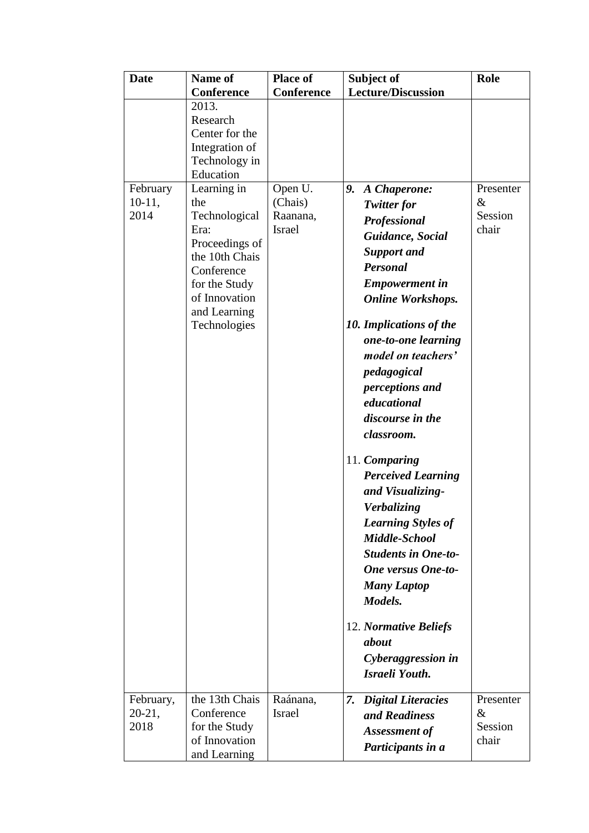| <b>Date</b>      | Name of               | <b>Place of</b>           | Subject of                      | Role         |
|------------------|-----------------------|---------------------------|---------------------------------|--------------|
|                  | <b>Conference</b>     | Conference                | <b>Lecture/Discussion</b>       |              |
|                  | 2013.                 |                           |                                 |              |
|                  | Research              |                           |                                 |              |
|                  | Center for the        |                           |                                 |              |
|                  | Integration of        |                           |                                 |              |
|                  | Technology in         |                           |                                 |              |
|                  | Education             |                           |                                 |              |
| February         | Learning in           | Open U.                   | 9.<br>A Chaperone:              | Presenter    |
| $10-11,$<br>2014 | the                   | (Chais)                   | <b>Twitter for</b>              | &<br>Session |
|                  | Technological<br>Era: | Raanana,<br><b>Israel</b> | Professional                    | chair        |
|                  | Proceedings of        |                           | Guidance, Social                |              |
|                  | the 10th Chais        |                           | <b>Support and</b>              |              |
|                  | Conference            |                           | Personal                        |              |
|                  | for the Study         |                           | <b>Empowerment</b> in           |              |
|                  | of Innovation         |                           | <b>Online Workshops.</b>        |              |
|                  | and Learning          |                           |                                 |              |
|                  | Technologies          |                           | 10. Implications of the         |              |
|                  |                       |                           | one-to-one learning             |              |
|                  |                       |                           | model on teachers'              |              |
|                  |                       |                           | pedagogical                     |              |
|                  |                       |                           | perceptions and                 |              |
|                  |                       |                           | educational                     |              |
|                  |                       |                           | discourse in the                |              |
|                  |                       |                           | classroom.                      |              |
|                  |                       |                           |                                 |              |
|                  |                       |                           | 11. Comparing                   |              |
|                  |                       |                           | <b>Perceived Learning</b>       |              |
|                  |                       |                           | and Visualizing-                |              |
|                  |                       |                           | Verbalizing                     |              |
|                  |                       |                           | <b>Learning Styles of</b>       |              |
|                  |                       |                           | Middle-School                   |              |
|                  |                       |                           | <b>Students in One-to-</b>      |              |
|                  |                       |                           | <b>One versus One-to-</b>       |              |
|                  |                       |                           | <b>Many Laptop</b>              |              |
|                  |                       |                           | Models.                         |              |
|                  |                       |                           |                                 |              |
|                  |                       |                           | 12. Normative Beliefs           |              |
|                  |                       |                           | about                           |              |
|                  |                       |                           | Cyberaggression in              |              |
|                  |                       |                           | Israeli Youth.                  |              |
|                  |                       |                           |                                 |              |
| February,        | the 13th Chais        | Raánana,                  | <b>Digital Literacies</b><br>7. | Presenter    |
| $20-21,$         | Conference            | Israel                    | and Readiness                   | &            |
| 2018             | for the Study         |                           | Assessment of                   | Session      |
|                  | of Innovation         |                           | Participants in a               | chair        |
|                  | and Learning          |                           |                                 |              |